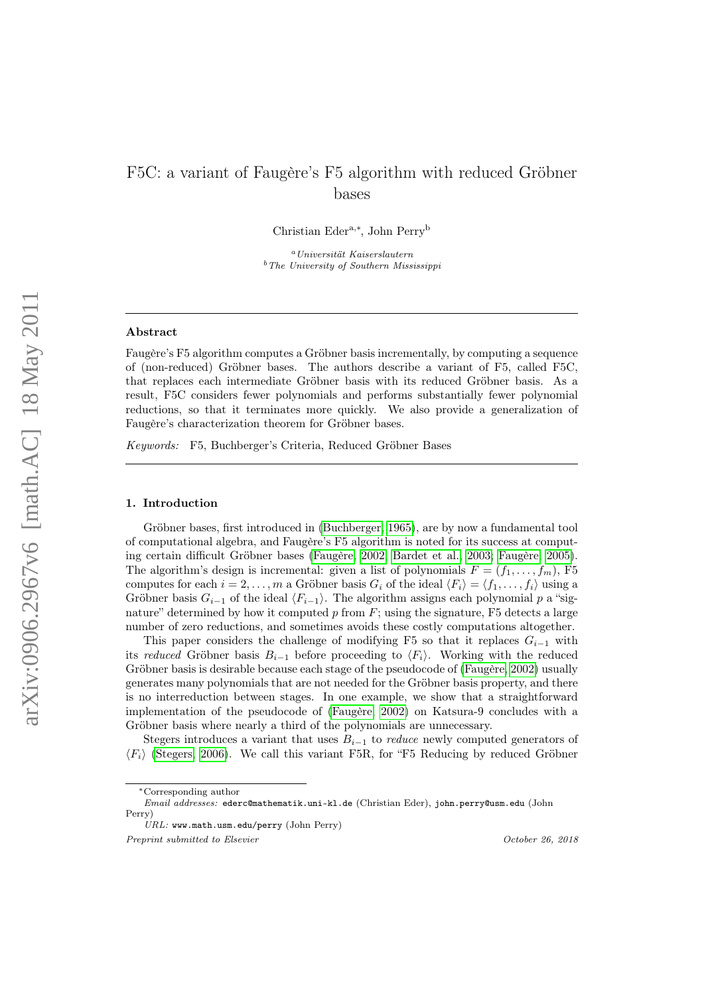# F5C: a variant of Faugère's F5 algorithm with reduced Gröbner bases

Christian Edera,<sup>∗</sup> , John Perry<sup>b</sup>

<sup>a</sup>Universität Kaiserslautern  $<sup>b</sup>$  The University of Southern Mississippi</sup>

#### Abstract

Faugère's F5 algorithm computes a Gröbner basis incrementally, by computing a sequence of (non-reduced) Gröbner bases. The authors describe a variant of F5, called F5C, that replaces each intermediate Gröbner basis with its reduced Gröbner basis. As a result, F5C considers fewer polynomials and performs substantially fewer polynomial reductions, so that it terminates more quickly. We also provide a generalization of Faugère's characterization theorem for Gröbner bases.

Keywords: F5, Buchberger's Criteria, Reduced Gröbner Bases

# 1. Introduction

Gröbner bases, first introduced in [\(Buchberger, 1965\)](#page-32-0), are by now a fundamental tool of computational algebra, and Faugère's F5 algorithm is noted for its success at computing certain difficult Gröbner bases [\(Faugère, 2002;](#page-32-1) [Bardet et al., 2003;](#page-32-2) [Faugère, 2005\)](#page-32-3). The algorithm's design is incremental: given a list of polynomials  $F = (f_1, \ldots, f_m)$ , F5 computes for each  $i = 2, ..., m$  a Gröbner basis  $G_i$  of the ideal  $\langle F_i \rangle = \langle f_1, ..., f_i \rangle$  using a Gröbner basis  $G_{i-1}$  of the ideal  $\langle F_{i-1} \rangle$ . The algorithm assigns each polynomial p a "signature" determined by how it computed  $p$  from  $F$ ; using the signature, F5 detects a large number of zero reductions, and sometimes avoids these costly computations altogether.

This paper considers the challenge of modifying F5 so that it replaces  $G_{i-1}$  with its reduced Gröbner basis  $B_{i-1}$  before proceeding to  $\langle F_i \rangle$ . Working with the reduced Gröbner basis is desirable because each stage of the pseudocode of [\(Faugère, 2002\)](#page-32-1) usually generates many polynomials that are not needed for the Gröbner basis property, and there is no interreduction between stages. In one example, we show that a straightforward implementation of the pseudocode of [\(Faugère, 2002\)](#page-32-1) on Katsura-9 concludes with a Gröbner basis where nearly a third of the polynomials are unnecessary.

Stegers introduces a variant that uses  $B_{i-1}$  to *reduce* newly computed generators of  $\langle F_i \rangle$  [\(Stegers, 2006\)](#page-34-0). We call this variant F5R, for "F5 Reducing by reduced Gröbner

Preprint submitted to Elsevier Containers and the Containers of Coronavia Coronavia Coronavia Coronavia Coronavia Coronavia Coronavia Coronavia Coronavia Coronavia Coronavia Coronavia Coronavia Coronavia Coronavia Coronavi

<sup>∗</sup>Corresponding author

Email addresses: ederc@mathematik.uni-kl.de (Christian Eder), john.perry@usm.edu (John Perry)

URL: www.math.usm.edu/perry (John Perry)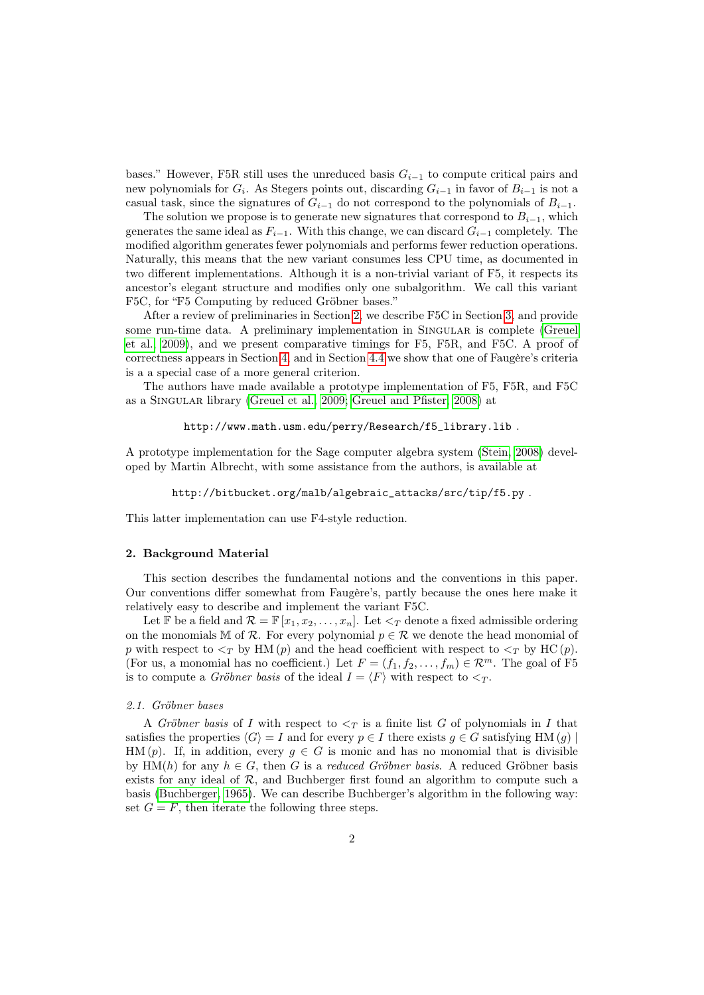bases." However, F5R still uses the unreduced basis  $G_{i-1}$  to compute critical pairs and new polynomials for  $G_i$ . As Stegers points out, discarding  $G_{i-1}$  in favor of  $B_{i-1}$  is not a casual task, since the signatures of  $G_{i-1}$  do not correspond to the polynomials of  $B_{i-1}$ .

The solution we propose is to generate new signatures that correspond to  $B_{i-1}$ , which generates the same ideal as  $F_{i-1}$ . With this change, we can discard  $G_{i-1}$  completely. The modified algorithm generates fewer polynomials and performs fewer reduction operations. Naturally, this means that the new variant consumes less CPU time, as documented in two different implementations. Although it is a non-trivial variant of F5, it respects its ancestor's elegant structure and modifies only one subalgorithm. We call this variant F5C, for "F5 Computing by reduced Gröbner bases."

After a review of preliminaries in Section [2,](#page-1-0) we describe F5C in Section [3,](#page-11-0) and provide some run-time data. A preliminary implementation in SINGULAR is complete [\(Greuel](#page-34-1) [et al., 2009\)](#page-34-1), and we present comparative timings for F5, F5R, and F5C. A proof of correctness appears in Section [4,](#page-17-0) and in Section [4.4](#page-24-0) we show that one of Faugère's criteria is a a special case of a more general criterion.

The authors have made available a prototype implementation of F5, F5R, and F5C as a Singular library [\(Greuel et al., 2009;](#page-34-1) [Greuel and Pfister, 2008\)](#page-32-4) at

```
http://www.math.usm.edu/perry/Research/f5_library.lib .
```
A prototype implementation for the Sage computer algebra system [\(Stein, 2008\)](#page-34-2) developed by Martin Albrecht, with some assistance from the authors, is available at

```
http://bitbucket.org/malb/algebraic_attacks/src/tip/f5.py .
```
This latter implementation can use F4-style reduction.

#### <span id="page-1-0"></span>2. Background Material

This section describes the fundamental notions and the conventions in this paper. Our conventions differ somewhat from Faugère's, partly because the ones here make it relatively easy to describe and implement the variant F5C.

Let F be a field and  $\mathcal{R} = \mathbb{F}[x_1, x_2, \ldots, x_n]$ . Let  $\lt_T$  denote a fixed admissible ordering on the monomials M of R. For every polynomial  $p \in \mathcal{R}$  we denote the head monomial of p with respect to  $\langle \gamma \rangle$  by HM (p) and the head coefficient with respect to  $\langle \gamma \rangle$  by HC (p). (For us, a monomial has no coefficient.) Let  $F = (f_1, f_2, \ldots, f_m) \in \mathbb{R}^m$ . The goal of F5 is to compute a *Gröbner basis* of the ideal  $I = \langle F \rangle$  with respect to  $\langle T \rangle$ .

# 2.1. Gröbner bases

A Gröbner basis of I with respect to  $\leq_T$  is a finite list G of polynomials in I that satisfies the properties  $\langle G \rangle = I$  and for every  $p \in I$  there exists  $g \in G$  satisfying HM  $(g)$ HM (p). If, in addition, every  $g \in G$  is monic and has no monomial that is divisible by HM(h) for any  $h \in G$ , then G is a reduced Gröbner basis. A reduced Gröbner basis exists for any ideal of  $\mathcal{R}$ , and Buchberger first found an algorithm to compute such a basis [\(Buchberger, 1965\)](#page-32-0). We can describe Buchberger's algorithm in the following way: set  $G = F$ , then iterate the following three steps.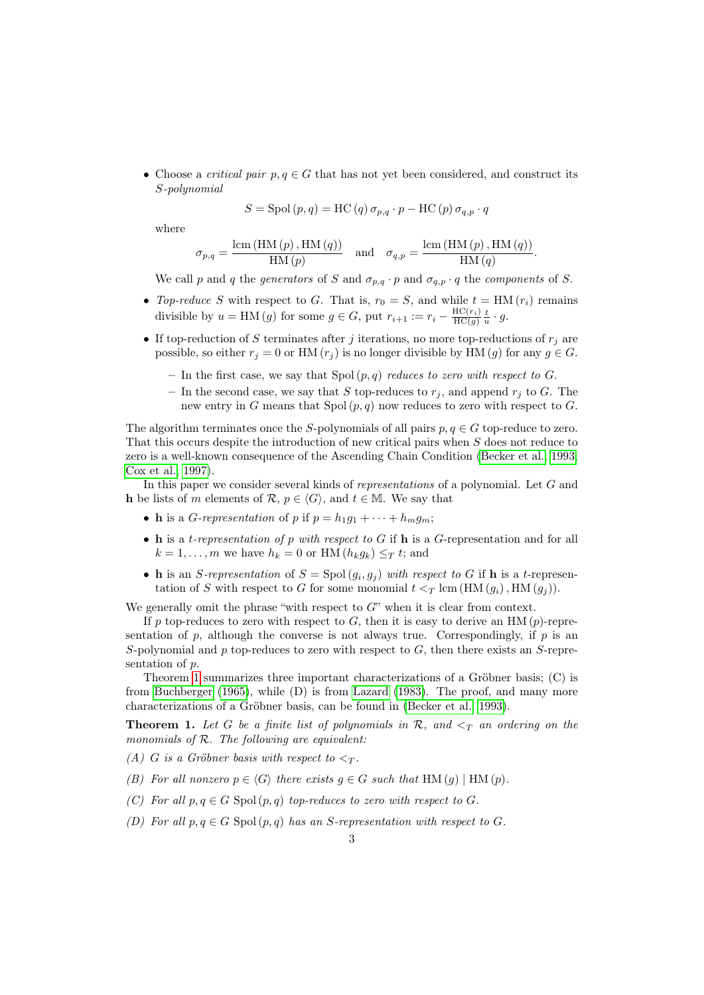• Choose a *critical pair*  $p, q \in G$  that has not yet been considered, and construct its S-polynomial

$$
S = \text{Spol}(p, q) = \text{HC}(q) \sigma_{p,q} \cdot p - \text{HC}(p) \sigma_{q,p} \cdot q
$$

where

$$
\sigma_{p,q} = \frac{\text{lcm (HM (p), HM (q))}}{\text{HM (p)}} \quad \text{and} \quad \sigma_{q,p} = \frac{\text{lcm (HM (p), HM (q))}}{\text{HM (q)}}.
$$

We call p and q the generators of S and  $\sigma_{p,q} \cdot p$  and  $\sigma_{q,p} \cdot q$  the components of S.

- Top-reduce S with respect to G. That is,  $r_0 = S$ , and while  $t = HM(r_i)$  remains divisible by  $u = \text{HM}(g)$  for some  $g \in G$ , put  $r_{i+1} := r_i - \frac{\text{HC}(r_i)}{\text{HC}(g)} \frac{t}{u} \cdot g$ .
- If top-reduction of S terminates after j iterations, no more top-reductions of  $r_j$  are possible, so either  $r_j = 0$  or HM  $(r_j)$  is no longer divisible by HM  $(g)$  for any  $g \in G$ .
	- In the first case, we say that  $Spol(p,q)$  reduces to zero with respect to G.
	- In the second case, we say that S top-reduces to  $r_i$ , and append  $r_i$  to G. The new entry in G means that  $Spol(p, q)$  now reduces to zero with respect to G.

The algorithm terminates once the S-polynomials of all pairs  $p, q \in G$  top-reduce to zero. That this occurs despite the introduction of new critical pairs when S does not reduce to zero is a well-known consequence of the Ascending Chain Condition [\(Becker et al., 1993;](#page-32-5) [Cox et al., 1997\)](#page-32-6).

In this paper we consider several kinds of representations of a polynomial. Let G and h be lists of m elements of R,  $p \in \langle G \rangle$ , and  $t \in M$ . We say that

- **h** is a *G*-representation of p if  $p = h_1g_1 + \cdots + h_mg_m$ ;
- h is a t-representation of p with respect to G if h is a G-representation and for all  $k = 1, \ldots, m$  we have  $h_k = 0$  or HM  $(h_k g_k) \leq T t$ ; and
- h is an S-representation of  $S = Spol(g_i, g_j)$  with respect to G if h is a t-representation of S with respect to G for some monomial  $t <_T \text{ lcm } (\text{HM } (g_i), \text{HM } (g_j)).$

We generally omit the phrase "with respect to  $G$ " when it is clear from context.

If p top-reduces to zero with respect to  $G$ , then it is easy to derive an HM (p)-representation of  $p$ , although the converse is not always true. Correspondingly, if  $p$  is an S-polynomial and p top-reduces to zero with respect to  $G$ , then there exists an S-representation of p.

Theorem [1](#page-2-0) summarizes three important characterizations of a Gröbner basis; (C) is from [Buchberger](#page-32-0) [\(1965\)](#page-32-0), while (D) is from [Lazard](#page-34-3) [\(1983\)](#page-34-3). The proof, and many more characterizations of a Gröbner basis, can be found in [\(Becker et al., 1993\)](#page-32-5).

<span id="page-2-0"></span>**Theorem 1.** Let G be a finite list of polynomials in  $\mathcal{R}$ , and  $\leq_T$  an ordering on the monomials of  $R$ . The following are equivalent:

- (A) G is a Gröbner basis with respect to  $\lt_T$ .
- (B) For all nonzero  $p \in \langle G \rangle$  there exists  $g \in G$  such that HM  $(g)$  | HM  $(p)$ .
- (C) For all  $p, q \in G$  Spol $(p, q)$  top-reduces to zero with respect to G.
- (D) For all  $p, q \in G$  Spol $(p, q)$  has an S-representation with respect to G.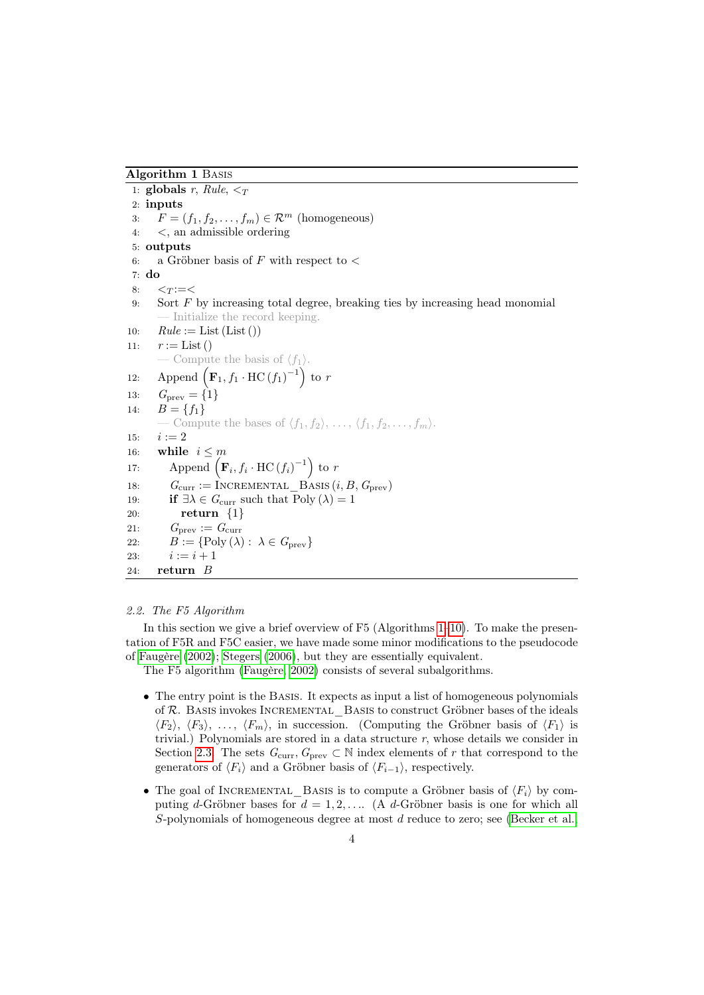<span id="page-3-0"></span>Algorithm 1 Basis

<span id="page-3-11"></span><span id="page-3-10"></span><span id="page-3-8"></span><span id="page-3-4"></span>1: globals  $r$ , Rule,  $\leq_T$ 2: inputs 3:  $F = (f_1, f_2, \ldots, f_m) \in \mathcal{R}^m$  (homogeneous) 4: <, an admissible ordering 5: outputs 6: a Gröbner basis of F with respect to  $\lt$ 7: do  $8: <sub>T</sub> := <$ 9: Sort F by increasing total degree, breaking ties by increasing head monomial — Initialize the record keeping. 10:  $Rule := List (List())$ 11:  $r := List()$ — Compute the basis of  $\langle f_1 \rangle$ . 12: Append  $\left(\mathbf{F}_1, f_1 \cdot \text{HC}(f_1)^{-1}\right)$  to r 13:  $G_{\text{prev}} = \{1\}$ 14:  $B = \{f_1\}$ — Compute the bases of  $\langle f_1, f_2 \rangle, \ldots, \langle f_1, f_2, \ldots, f_m \rangle$ . 15:  $i := 2$ 16: while  $i \leq m$ 17: Append  $\left(\mathbf{F}_i, f_i \cdot \text{HC}(f_i)^{-1}\right)$  to r 18:  $G_{\text{curr}} := \text{INCREMENTAL\_BASIS}(i, B, G_{\text{prev}})$ 19: **if**  $\exists \lambda \in G_{\text{curr}}$  such that  $\text{Poly}(\lambda) = 1$ 20: return {1} 21:  $G_{\text{prev}} := G_{\text{curr}}$ 22:  $B := \{ \text{Poly}(\lambda) : \lambda \in G_{\text{prev}} \}$ 23:  $i := i + 1$ 24: return B

#### <span id="page-3-9"></span><span id="page-3-7"></span><span id="page-3-6"></span><span id="page-3-5"></span><span id="page-3-3"></span><span id="page-3-2"></span><span id="page-3-1"></span>2.2. The F5 Algorithm

In this section we give a brief overview of F5 (Algorithms [1–](#page-3-0)[10\)](#page-10-0). To make the presentation of F5R and F5C easier, we have made some minor modifications to the pseudocode of [Faugère](#page-32-1) [\(2002\)](#page-32-1); [Stegers](#page-34-0) [\(2006\)](#page-34-0), but they are essentially equivalent.

The F5 algorithm [\(Faugère, 2002\)](#page-32-1) consists of several subalgorithms.

- The entry point is the BASIS. It expects as input a list of homogeneous polynomials of  $R$ . Basis invokes INCREMENTAL Basis to construct Gröbner bases of the ideals  $\langle F_2 \rangle$ ,  $\langle F_3 \rangle$ , ...,  $\langle F_m \rangle$ , in succession. (Computing the Gröbner basis of  $\langle F_1 \rangle$  is trivial.) Polynomials are stored in a data structure  $r$ , whose details we consider in Section [2.3.](#page-7-0) The sets  $G_{\text{curr}}$ ,  $G_{\text{prev}} \subset \mathbb{N}$  index elements of r that correspond to the generators of  $\langle F_i \rangle$  and a Gröbner basis of  $\langle F_{i-1} \rangle$ , respectively.
- The goal of INCREMENTAL BASIS is to compute a Gröbner basis of  $\langle F_i \rangle$  by computing d-Gröbner bases for  $d = 1, 2, \ldots$  (A d-Gröbner basis is one for which all S-polynomials of homogeneous degree at most d reduce to zero; see [\(Becker et al.,](#page-32-5)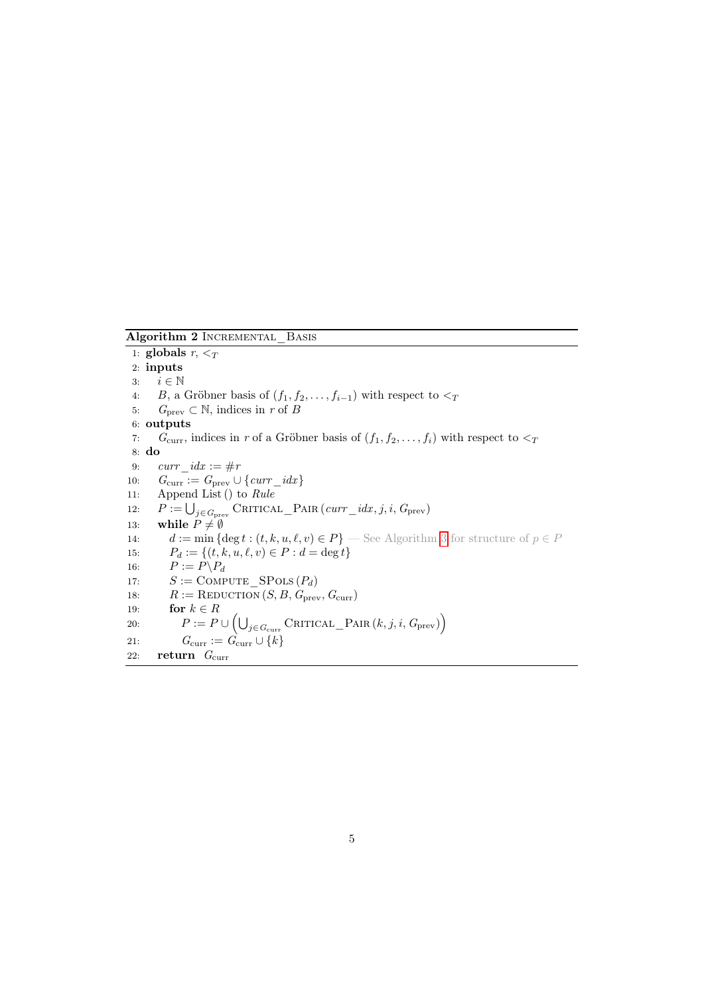Algorithm 2 INCREMENTAL BASIS

1: globals  $r, <_T$ 2: inputs 3:  $i \in \mathbb{N}$ 4: B, a Gröbner basis of  $(f_1, f_2, \ldots, f_{i-1})$  with respect to  $\lt_T$ 5:  $G_{\text{prev}} \subset \mathbb{N}$ , indices in r of B 6: outputs 7:  $G_{\text{curr}}$ , indices in r of a Gröbner basis of  $(f_1, f_2, \ldots, f_i)$  with respect to  $\lt_T$ 8: do 9:  $curr \; idx := \#r$ 10:  $G_{\text{curr}} := G_{\text{prev}} \cup \{curr\_idx\}$ 11: Append List () to Rule 12:  $P := \bigcup_{j \in G_{\text{prev}}} \text{CRITICAL\_PAR}(curr\_idx, j, i, G_{\text{prev}})$ 13: while  $P \neq \emptyset$ 14:  $d := \min \{ \deg t : (t, k, u, \ell, v) \in P \}$  — See Algorithm [3](#page-5-0) for structure of  $p \in P$ 15:  $P_d := \{(t, k, u, \ell, v) \in P : d = \deg t\}$ 16:  $P := P \backslash P_d$ 17:  $S := \text{COMPUTE} \text{ SPOLS} (P_d)$ 18:  $R := \text{REDUCTION}(S, B, G_{\text{prev}}, G_{\text{curr}})$ 19: **for**  $k \in R$ 20:  $P := P \cup \left( \bigcup_{j \in G_{\text{curr}}} \text{CRITICAL\_PAR}(k, j, i, G_{\text{prev}}) \right)$ 21:  $G_{\text{curr}} := \hat{G}_{\text{curr}} \cup \{k\}$ 22: return  $G_{\text{curr}}$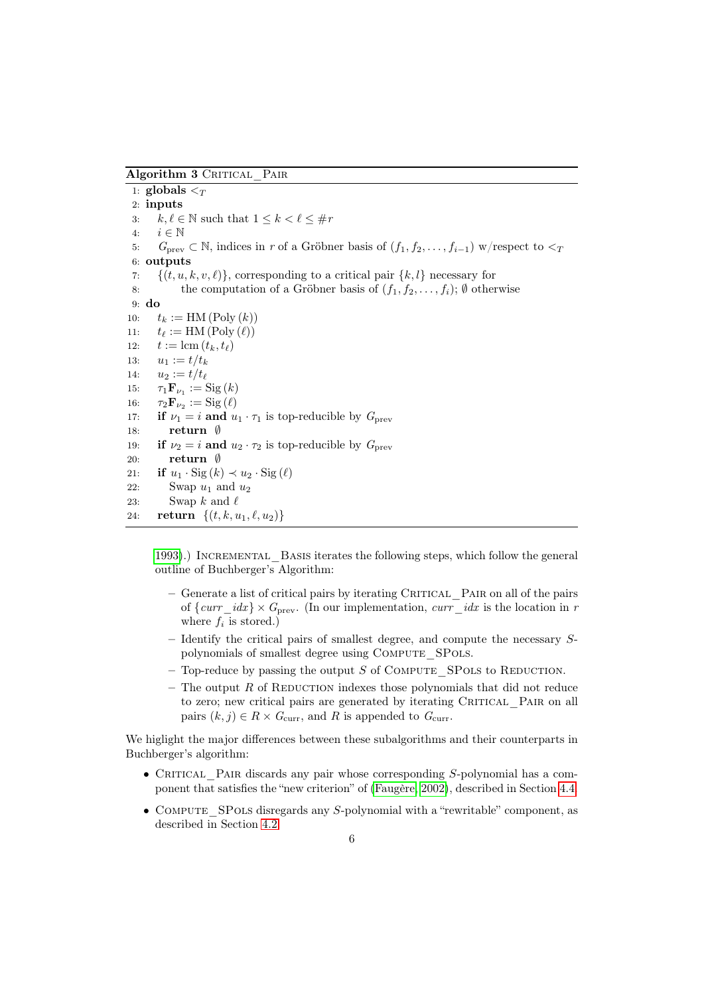<span id="page-5-0"></span>Algorithm 3 CRITICAL PAIR

1: globals  $\overline{<_T}$ 2: inputs 3:  $k, \ell \in \mathbb{N}$  such that  $1 \leq k < \ell \leq \text{\#r}$ 4:  $i \in \mathbb{N}$ 5:  $G_{\text{prev}} \subset \mathbb{N}$ , indices in r of a Gröbner basis of  $(f_1, f_2, \ldots, f_{i-1})$  w/respect to  $\lt_T$ 6: outputs 7:  $\{(t, u, k, v, \ell)\}\$ , corresponding to a critical pair  $\{k, l\}$  necessary for 8: the computation of a Gröbner basis of  $(f_1, f_2, \ldots, f_i)$ ;  $\emptyset$  otherwise 9: do 10:  $t_k := \text{HM}(\text{Poly}(k))$ 11:  $t_{\ell} := \text{HM}(\text{Poly}(\ell))$ 12:  $t := \text{lcm}(t_k, t_\ell)$ 13:  $u_1 := t/t_k$ 14:  $u_2 := t/t_{\ell}$ 15:  $\tau_1 \mathbf{F}_{\nu_1} := \text{Sig}(k)$ 16:  $\tau_2 \mathbf{F}_{\nu_2} := \mathrm{Sig}\left(\ell\right)$ 17: **if**  $\nu_1 = i$  and  $u_1 \cdot \tau_1$  is top-reducible by  $G_{\text{prev}}$ 18: return ∅ 19: if  $\nu_2 = i$  and  $u_2 \cdot \tau_2$  is top-reducible by  $G_{\text{prev}}$ 20: return ∅ 21: if  $u_1 \cdot \text{Sig}(k) \prec u_2 \cdot \text{Sig}(\ell)$ 22: Swap  $u_1$  and  $u_2$ 23: Swap k and  $\ell$ 24: **return**  $\{(t, k, u_1, \ell, u_2)\}$ 

[1993\)](#page-32-5).) Incremental\_Basis iterates the following steps, which follow the general outline of Buchberger's Algorithm:

- $-$  Generate a list of critical pairs by iterating CRITICAL PAIR on all of the pairs of  $\{curr\_idx\} \times G_{prev}$ . (In our implementation,  $curr\_idx$  is the location in r where  $f_i$  is stored.)
- Identify the critical pairs of smallest degree, and compute the necessary Spolynomials of smallest degree using COMPUTE SPOLS.
- Top-reduce by passing the output  $S$  of COMPUTE SPOLS to REDUCTION.
- The output  $R$  of REDUCTION indexes those polynomials that did not reduce to zero; new critical pairs are generated by iterating CRITICAL PAIR on all pairs  $(k, j) \in R \times G_{\text{curr}}$ , and R is appended to  $G_{\text{curr}}$ .

We higlight the major differences between these subalgorithms and their counterparts in Buchberger's algorithm:

- CRITICAL PAIR discards any pair whose corresponding  $S$ -polynomial has a component that satisfies the "new criterion" of [\(Faugère, 2002\)](#page-32-1), described in Section [4.4.](#page-24-0)
- COMPUTE SPOLS disregards any S-polynomial with a "rewritable" component, as described in Section [4.2.](#page-18-0)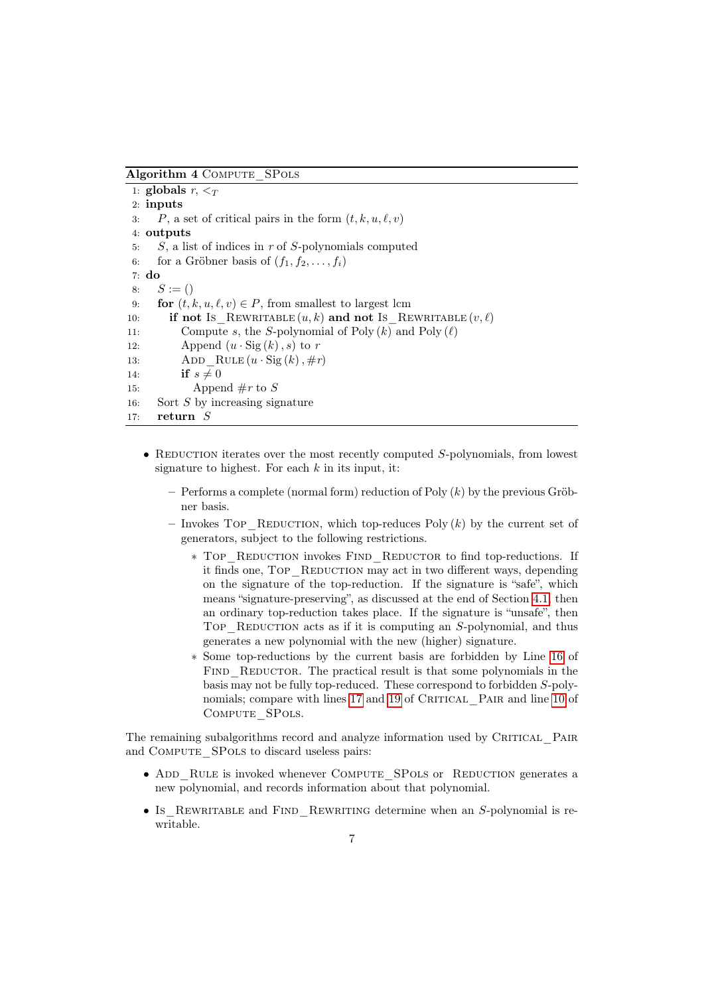Algorithm 4 COMPUTE SPOLS

```
1: globals r, \leq_T2: inputs
3: P, a set of critical pairs in the form (t, k, u, \ell, v)4: outputs
5: S, a list of indices in r of S-polynomials computed
6: for a Gröbner basis of (f_1, f_2, \ldots, f_i)7: do
8: S := ()9: for (t, k, u, \ell, v) \in P, from smallest to largest lcm
10: if not Is REWRITABLE (u, k) and not Is REWRITABLE (v, \ell)11: Compute s, the S-polynomial of Poly (k) and Poly (\ell)12: Append (u \cdot \text{Sig}(k), s) to r
13: ADD RULE (u \cdot \text{Sig } (k), \# r)14: if s \neq 015: Append \#r to S
16: Sort S by increasing signature
17: return S
```
- REDUCTION iterates over the most recently computed  $S$ -polynomials, from lowest signature to highest. For each  $k$  in its input, it:
	- $-$  Performs a complete (normal form) reduction of Poly  $(k)$  by the previous Gröbner basis.
	- Invokes TOP\_REDUCTION, which top-reduces Poly  $(k)$  by the current set of generators, subject to the following restrictions.
		- ∗ Top\_Reduction invokes Find\_Reductor to find top-reductions. If it finds one, TOP REDUCTION may act in two different ways, depending on the signature of the top-reduction. If the signature is "safe", which means "signature-preserving", as discussed at the end of Section [4.1,](#page-17-1) then an ordinary top-reduction takes place. If the signature is "unsafe", then TOP REDUCTION acts as if it is computing an  $S$ -polynomial, and thus generates a new polynomial with the new (higher) signature.
		- ∗ Some top-reductions by the current basis are forbidden by Line [16](#page-3-1) of FIND REDUCTOR. The practical result is that some polynomials in the basis may not be fully top-reduced. These correspond to forbidden S-poly-nomials; compare with lines [17](#page-3-2) and [19](#page-3-3) of CRITICAL PAIR and line [10](#page-3-4) of Compute\_SPols.

The remaining subalgorithms record and analyze information used by CRITICAL PAIR and COMPUTE SPOLS to discard useless pairs:

- ADD\_RULE is invoked whenever COMPUTE\_SPOLS or REDUCTION generates a new polynomial, and records information about that polynomial.
- Is REWRITABLE and FIND REWRITING determine when an S-polynomial is rewritable.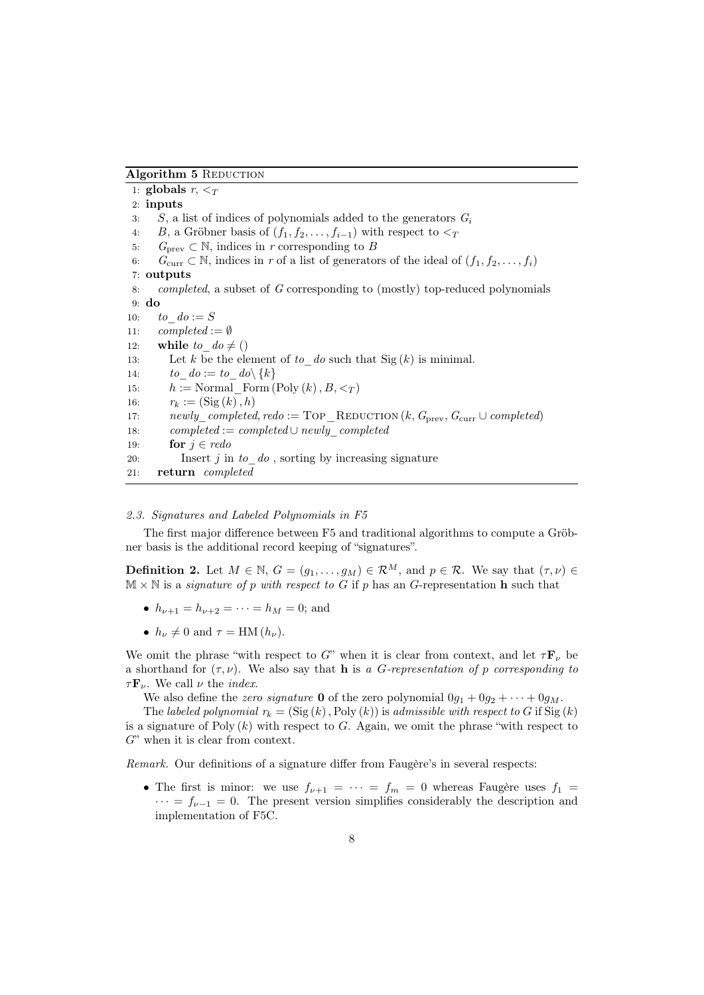# Algorithm 5 REDUCTION

1: globals  $r, \leq_T$ 2: inputs 3: S, a list of indices of polynomials added to the generators  $G_i$ 4: B, a Gröbner basis of  $(f_1, f_2, \ldots, f_{i-1})$  with respect to  $\leq_T$ 5:  $G_{\text{prev}} \subset \mathbb{N}$ , indices in r corresponding to B 6:  $G_{\text{curr}} \subset \mathbb{N}$ , indices in r of a list of generators of the ideal of  $(f_1, f_2, \ldots, f_i)$ 7: outputs 8: completed, a subset of G corresponding to (mostly) top-reduced polynomials 9: do 10: to  $do := S$ 11:  $complete$  :=  $\emptyset$ 12: while to  $d\sigma \neq ()$ 13: Let k be the element of to do such that  $\text{Sig } (k)$  is minimal. 14: to  $do := to\ do\ {\{k\}$ 15:  $h := \text{Normal Form}(\text{Poly } (k), B, \lt_T )$ 16:  $r_k := (\text{Sig}(k), h)$ 17: newly\_completed, redo := TOP\_REDUCTION  $(k, G_{prev}, G_{curr} \cup completed)$ 18: completed := completed ∪ newly\_completed 19: **for**  $j \in \text{red}o$ 20: Insert  $j$  in  $to\_do$ , sorting by increasing signature 21: return completed

# <span id="page-7-0"></span>2.3. Signatures and Labeled Polynomials in F5

The first major difference between F5 and traditional algorithms to compute a Gröbner basis is the additional record keeping of "signatures".

<span id="page-7-1"></span>**Definition 2.** Let  $M \in \mathbb{N}$ ,  $G = (g_1, \ldots, g_M) \in \mathcal{R}^M$ , and  $p \in \mathcal{R}$ . We say that  $(\tau, \nu) \in$  $M \times N$  is a *signature of p with respect to G* if p has an G-representation **h** such that

- $h_{\nu+1} = h_{\nu+2} = \cdots = h_M = 0$ ; and
- $h_{\nu} \neq 0$  and  $\tau = \text{HM} (h_{\nu}).$

We omit the phrase "with respect to G" when it is clear from context, and let  $\tau \mathbf{F}_{\nu}$  be a shorthand for  $(\tau, \nu)$ . We also say that **h** is a G-representation of p corresponding to  $\tau \mathbf{F}_{\nu}$ . We call  $\nu$  the *index*.

We also define the zero signature **0** of the zero polynomial  $0g_1 + 0g_2 + \cdots + 0g_M$ .

The labeled polynomial  $r_k = (\text{Sig}(k), \text{Poly}(k))$  is admissible with respect to G if  $\text{Sig}(k)$ is a signature of Poly  $(k)$  with respect to G. Again, we omit the phrase "with respect to  $G$ " when it is clear from context.

Remark. Our definitions of a signature differ from Faugère's in several respects:

• The first is minor: we use  $f_{\nu+1} = \cdots = f_m = 0$  whereas Faugère uses  $f_1 =$  $\cdots = f_{\nu-1} = 0$ . The present version simplifies considerably the description and implementation of F5C.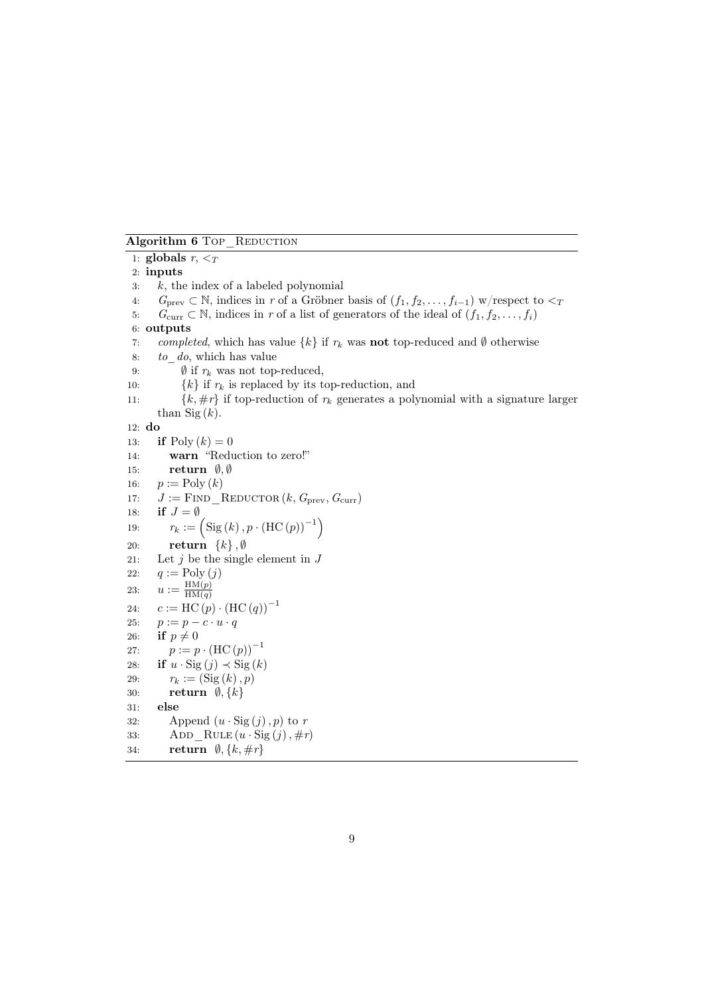Algorithm 6 Top REDUCTION

<span id="page-8-1"></span><span id="page-8-0"></span>1: globals  $r, \leq_T$ 2: inputs  $3: k,$  the index of a labeled polynomial 4:  $G_{\text{prev}} \subset \mathbb{N}$ , indices in r of a Gröbner basis of  $(f_1, f_2, \ldots, f_{i-1})$  w/respect to  $\lt_T$ 5:  $G_{\text{curr}} \subset \mathbb{N}$ , indices in r of a list of generators of the ideal of  $(f_1, f_2, \ldots, f_i)$ 6: outputs 7: completed, which has value  $\{k\}$  if  $r_k$  was **not** top-reduced and  $\emptyset$  otherwise 8: to\_do, which has value 9:  $\emptyset$  if  $r_k$  was not top-reduced, 10:  $\{k\}$  if  $r_k$  is replaced by its top-reduction, and 11:  $\{k, \#r\}$  if top-reduction of  $r_k$  generates a polynomial with a signature larger than  $\mathrm{Sig}(k)$ . 12: do 13: **if**  $Poly (k) = 0$ 14: warn "Reduction to zero!" 15: return  $\emptyset, \emptyset$ 16:  $p := \text{Poly } (k)$ 17:  $J :=$  FIND REDUCTOR  $(k, G_{prev}, G_{curr})$ 18: if  $J = \emptyset$ 19:  $r_k := \left( \text{Sig}(k), p \cdot (\text{HC}(p))^{-1} \right)$ 20: **return**  $\{k\}, \emptyset$ 21: Let  $j$  be the single element in  $J$ 22:  $q := \text{Poly}(j)$ 23:  $u := \frac{\text{HM}(p)}{\text{HM}(q)}$  $HM(q)$ 24:  $c := \text{HC}(p) \cdot (\text{HC}(q))^{-1}$ 25:  $p := p - c \cdot u \cdot q$ 26: if  $p \neq 0$ 27:  $p := p \cdot (\text{HC}(p))^{-1}$ 28: if  $u \cdot \text{Sig}(j) \prec \text{Sig}(k)$ 29:  $r_k := (\text{Sig}(k), p)$ 30: return  $\emptyset, \{k\}$ 31: else 32: Append  $(u \cdot \text{Sig}(j), p)$  to r 33: ADD RULE  $(u \cdot \text{Sig}(j), \#r)$ 34: return  $\emptyset, \{k, \#r\}$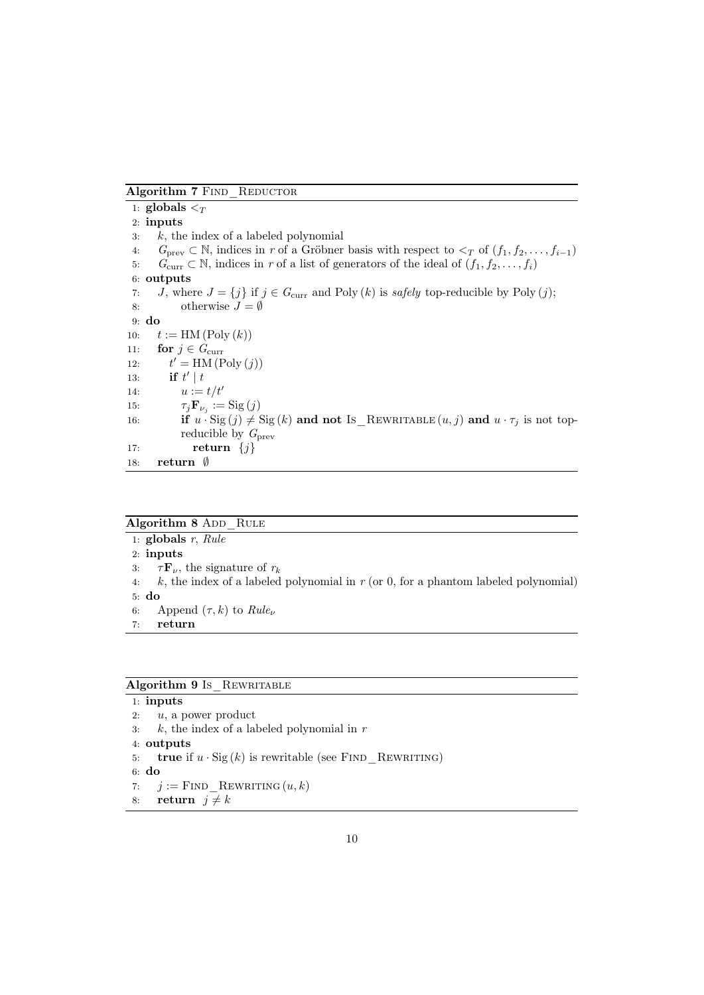Algorithm 7 FIND\_REDUCTOR

|     | 1: globals $\leq_T$                                                                                                                                     |
|-----|---------------------------------------------------------------------------------------------------------------------------------------------------------|
|     | $2:$ inputs                                                                                                                                             |
| 3:  | $k$ , the index of a labeled polynomial                                                                                                                 |
| 4:  | $G_{\text{prev}} \subset \mathbb{N}$ , indices in r of a Gröbner basis with respect to $\langle \gamma \text{ of } (f_1, f_2, \ldots, f_{i-1}) \rangle$ |
| 5:  | $G_{\text{curr}} \subset \mathbb{N}$ , indices in r of a list of generators of the ideal of $(f_1, f_2, \ldots, f_i)$                                   |
|     | 6: outputs                                                                                                                                              |
| 7:  | J, where $J = \{j\}$ if $j \in G_{\text{curr}}$ and Poly $(k)$ is safely top-reducible by Poly $(j)$ ;                                                  |
|     | otherwise $J = \emptyset$<br>8:                                                                                                                         |
|     | $9:$ do                                                                                                                                                 |
| 10: | $t := HM(Poly(k))$                                                                                                                                      |
| 11: | for $j \in G_{\text{curr}}$                                                                                                                             |
| 12: | $t' = HM (Poly (j))$                                                                                                                                    |
| 13. | if $t'$   $t$                                                                                                                                           |
| 14: | $u := t/t'$                                                                                                                                             |
| 15: | $\tau_i \mathbf{F}_{\nu_i} := \text{Sig}(j)$                                                                                                            |
| 16: | if $u \cdot \text{Sig}(j) \neq \text{Sig}(k)$ and not Is REWRITABLE $(u, j)$ and $u \cdot \tau_j$ is not top-                                           |
|     | reducible by $G_{\text{prev}}$                                                                                                                          |
| 17: | return $\{j\}$                                                                                                                                          |
| 18: | return $\emptyset$                                                                                                                                      |

# Algorithm 8 ADD RULE

1:  $globals$  r,  $Rule$ 2: inputs 3:  $\tau \mathbf{F}_{\nu}$ , the signature of  $r_k$ 4:  $k$ , the index of a labeled polynomial in  $r$  (or 0, for a phantom labeled polynomial) 5: do 6: Append  $(\tau, k)$  to  $Rule_{\nu}$ 7: return

# Algorithm 9 Is\_REWRITABLE

```
1: inputs
2: u, a power product
3: k, the index of a labeled polynomial in r4: outputs
5: true if u \cdot \text{Sig}(k) is rewritable (see FIND REWRITING)
6: do
7: j := FIND REWRITING (u, k)
```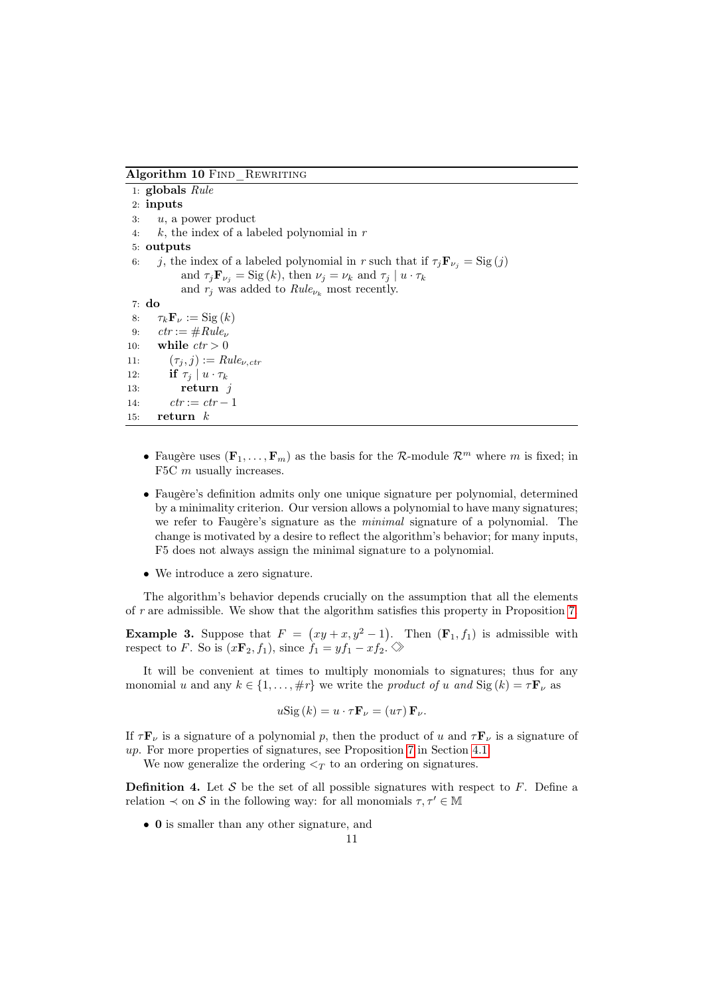<span id="page-10-0"></span>Algorithm 10 FIND REWRITING

1: globals Rule 2: inputs  $3: u$ , a power product 4:  $k$ , the index of a labeled polynomial in  $r$ 5: outputs 6: j, the index of a labeled polynomial in r such that if  $\tau_j \mathbf{F}_{\nu_j} = \text{Sig}(j)$ and  $\tau_j \mathbf{F}_{\nu_j} = \text{Sig}(k)$ , then  $\nu_j = \nu_k$  and  $\tau_j | u \cdot \tau_k$ and  $r_j$  was added to  $Rule_{\nu_k}$  most recently. 7: do 8:  $\tau_k \mathbf{F}_\nu := \text{Sig}(k)$ 9:  $ctr := \#Rule_{\nu}$ 10: while  $ctr > 0$ 11:  $(\tau_i, j) := Rule_{\nu, \text{ctr}}$ 12: if  $\tau_j \mid u \cdot \tau_k$ 13:  $r$ eturn  $i$ 14:  $ctr := str - 1$ 15:  $r$  return  $k$ 

- Faugère uses  $(\mathbf{F}_1, \ldots, \mathbf{F}_m)$  as the basis for the R-module  $\mathcal{R}^m$  where m is fixed; in F5C m usually increases.
- Faugère's definition admits only one unique signature per polynomial, determined by a minimality criterion. Our version allows a polynomial to have many signatures; we refer to Faugère's signature as the minimal signature of a polynomial. The change is motivated by a desire to reflect the algorithm's behavior; for many inputs, F5 does not always assign the minimal signature to a polynomial.
- We introduce a zero signature.

The algorithm's behavior depends crucially on the assumption that all the elements of r are admissible. We show that the algorithm satisfies this property in Proposition [7.](#page-17-2)

<span id="page-10-1"></span>**Example 3.** Suppose that  $F = (xy + x, y^2 - 1)$ . Then  $(\mathbf{F}_1, f_1)$  is admissible with respect to F. So is  $(x\mathbf{F}_2, f_1)$ , since  $f_1 = yf_1 - xf_2$ .  $\Diamond$ 

It will be convenient at times to multiply monomials to signatures; thus for any monomial u and any  $k \in \{1, ..., \#r\}$  we write the product of u and Sig  $(k) = \tau \mathbf{F}_{\nu}$  as

$$
u\mathrm{Sig}\left(k\right) = u \cdot \tau \mathbf{F}_{\nu} = \left(u\tau\right) \mathbf{F}_{\nu}.
$$

If  $\tau \mathbf{F}_{\nu}$  is a signature of a polynomial p, then the product of u and  $\tau \mathbf{F}_{\nu}$  is a signature of up. For more properties of signatures, see Proposition [7](#page-17-2) in Section [4.1.](#page-17-1)

We now generalize the ordering  $\leq_T$  to an ordering on signatures.

**Definition 4.** Let S be the set of all possible signatures with respect to F. Define a relation  $\prec$  on S in the following way: for all monomials  $\tau, \tau' \in \mathbb{M}$ 

• 0 is smaller than any other signature, and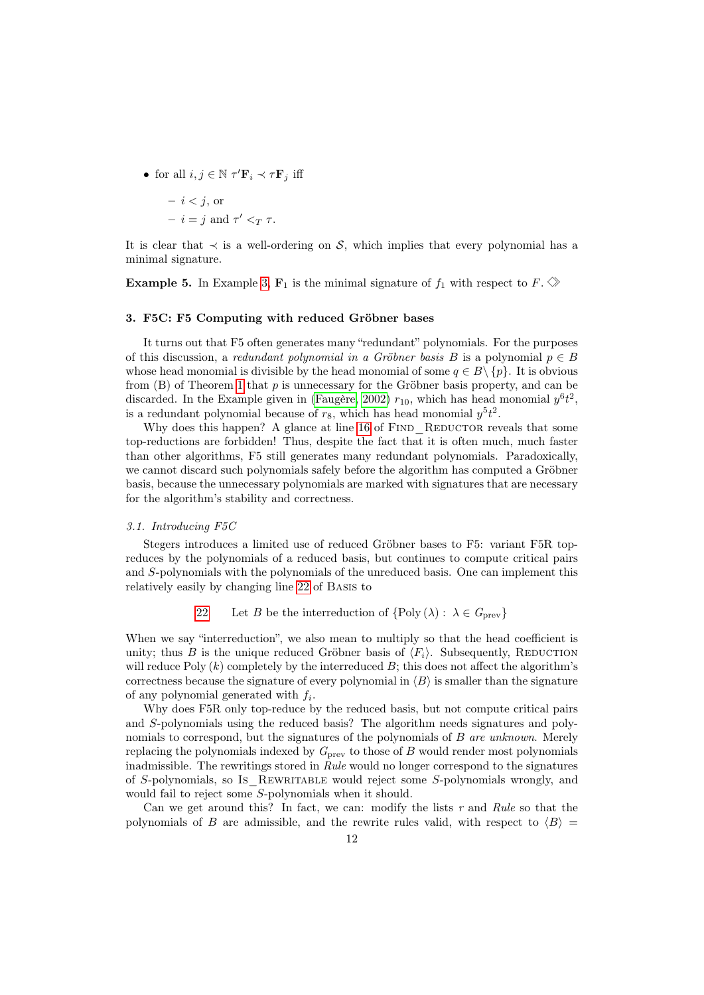• for all  $i, j \in \mathbb{N}$   $\tau' \mathbf{F}_i \prec \tau \mathbf{F}_j$  iff

$$
- i < j, \text{ or}
$$

 $- i = j$  and  $\tau' <_T \tau$ .

It is clear that  $\prec$  is a well-ordering on S, which implies that every polynomial has a minimal signature.

**Example 5.** In Example [3,](#page-10-1)  $\mathbf{F}_1$  is the minimal signature of  $f_1$  with respect to  $F \otimes$ 

#### <span id="page-11-0"></span>3. F5C: F5 Computing with reduced Gröbner bases

It turns out that F5 often generates many "redundant" polynomials. For the purposes of this discussion, a redundant polynomial in a Gröbner basis B is a polynomial  $p \in B$ whose head monomial is divisible by the head monomial of some  $q \in B \setminus \{p\}$ . It is obvious from  $(B)$  of Theorem [1](#page-2-0) that p is unnecessary for the Gröbner basis property, and can be discarded. In the Example given in [\(Faugère, 2002\)](#page-32-1)  $r_{10}$ , which has head monomial  $y^{6}t^{2}$ , is a redundant polynomial because of  $r_8$ , which has head monomial  $y^5t^2$ .

Why does this happen? A glance at line [16](#page-3-1) of FIND REDUCTOR reveals that some top-reductions are forbidden! Thus, despite the fact that it is often much, much faster than other algorithms, F5 still generates many redundant polynomials. Paradoxically, we cannot discard such polynomials safely before the algorithm has computed a Gröbner basis, because the unnecessary polynomials are marked with signatures that are necessary for the algorithm's stability and correctness.

### 3.1. Introducing F5C

Stegers introduces a limited use of reduced Gröbner bases to F5: variant F5R topreduces by the polynomials of a reduced basis, but continues to compute critical pairs and S-polynomials with the polynomials of the unreduced basis. One can implement this relatively easily by changing line [22](#page-3-5) of Basis to

[22](#page-3-5) Let B be the interreduction of  $\{Poly(\lambda): \lambda \in G_{prev}\}\$ 

When we say "interreduction", we also mean to multiply so that the head coefficient is unity; thus B is the unique reduced Gröbner basis of  $\langle F_i \rangle$ . Subsequently, REDUCTION will reduce Poly  $(k)$  completely by the interreduced  $B$ ; this does not affect the algorithm's correctness because the signature of every polynomial in  $\langle B \rangle$  is smaller than the signature of any polynomial generated with  $f_i$ .

Why does F5R only top-reduce by the reduced basis, but not compute critical pairs and S-polynomials using the reduced basis? The algorithm needs signatures and polynomials to correspond, but the signatures of the polynomials of  $B$  are unknown. Merely replacing the polynomials indexed by  $G_{\text{prev}}$  to those of B would render most polynomials inadmissible. The rewritings stored in Rule would no longer correspond to the signatures of S-polynomials, so Is\_Rewritable would reject some S-polynomials wrongly, and would fail to reject some S-polynomials when it should.

Can we get around this? In fact, we can: modify the lists  $r$  and Rule so that the polynomials of B are admissible, and the rewrite rules valid, with respect to  $\langle B \rangle$  =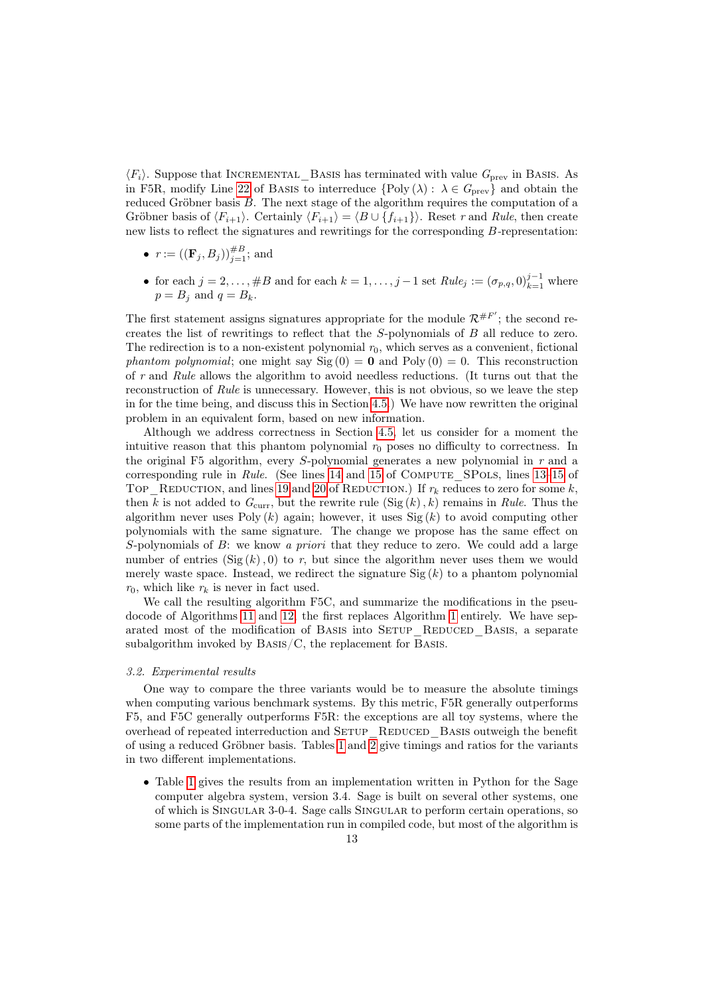$\langle F_i \rangle$ . Suppose that INCREMENTAL BASIS has terminated with value  $G_{\text{prev}}$  in Basis. As in F5R, modify Line [22](#page-3-5) of BASIS to interreduce  $\{\text{Poly}(\lambda): \lambda \in G_{\text{prev}}\}$  and obtain the reduced Gröbner basis B. The next stage of the algorithm requires the computation of a Gröbner basis of  $\langle F_{i+1} \rangle$ . Certainly  $\langle F_{i+1} \rangle = \langle B \cup \{f_{i+1}\}\rangle$ . Reset r and Rule, then create new lists to reflect the signatures and rewritings for the corresponding B-representation:

- $r := ((\mathbf{F}_j, B_j))_{j=1}^{\#B}$ ; and
- for each  $j = 2, \ldots, \#B$  and for each  $k = 1, \ldots, j-1$  set  $Rule_j := (\sigma_{p,q}, 0)_{k=1}^{j-1}$  where  $p = B_i$  and  $q = B_k$ .

The first statement assigns signatures appropriate for the module  $\mathcal{R}^{#F'}$ ; the second recreates the list of rewritings to reflect that the S-polynomials of B all reduce to zero. The redirection is to a non-existent polynomial  $r_0$ , which serves as a convenient, fictional phantom polynomial; one might say  $\text{Sig}(0) = 0$  and  $\text{Poly}(0) = 0$ . This reconstruction of r and Rule allows the algorithm to avoid needless reductions. (It turns out that the reconstruction of Rule is unnecessary. However, this is not obvious, so we leave the step in for the time being, and discuss this in Section [4.5.](#page-27-0)) We have now rewritten the original problem in an equivalent form, based on new information.

Although we address correctness in Section [4.5,](#page-27-0) let us consider for a moment the intuitive reason that this phantom polynomial  $r_0$  poses no difficulty to correctness. In the original F5 algorithm, every S-polynomial generates a new polynomial in r and a corresponding rule in Rule. (See lines [14](#page-3-6) and [15](#page-3-7) of COMPUTE\_SPOLS, lines [13–](#page-3-8)[15](#page-3-7) of TOP\_REDUCTION, and lines [19](#page-3-3) and [20](#page-3-9) of REDUCTION.) If  $r_k$  reduces to zero for some k, then k is not added to  $G_{\text{curr}}$ , but the rewrite rule  $(\text{Sig}(k), k)$  remains in Rule. Thus the algorithm never uses Poly  $(k)$  again; however, it uses Sig  $(k)$  to avoid computing other polynomials with the same signature. The change we propose has the same effect on S-polynomials of B: we know a priori that they reduce to zero. We could add a large number of entries  $(Sig (k), 0)$  to r, but since the algorithm never uses them we would merely waste space. Instead, we redirect the signature  $\text{Sig}(k)$  to a phantom polynomial  $r_0$ , which like  $r_k$  is never in fact used.

We call the resulting algorithm F5C, and summarize the modifications in the pseudocode of Algorithms [11](#page-13-0) and [12;](#page-14-0) the first replaces Algorithm [1](#page-3-0) entirely. We have separated most of the modification of BASIS into SETUP\_REDUCED\_BASIS, a separate subalgorithm invoked by BASIS/C, the replacement for BASIS.

#### 3.2. Experimental results

One way to compare the three variants would be to measure the absolute timings when computing various benchmark systems. By this metric, F5R generally outperforms F5, and F5C generally outperforms F5R: the exceptions are all toy systems, where the overhead of repeated interreduction and SETUP\_REDUCED\_BASIS outweigh the benefit of using a reduced Gröbner basis. Tables [1](#page-13-1) and [2](#page-14-1) give timings and ratios for the variants in two different implementations.

• Table [1](#page-13-1) gives the results from an implementation written in Python for the Sage computer algebra system, version 3.4. Sage is built on several other systems, one of which is Singular 3-0-4. Sage calls Singular to perform certain operations, so some parts of the implementation run in compiled code, but most of the algorithm is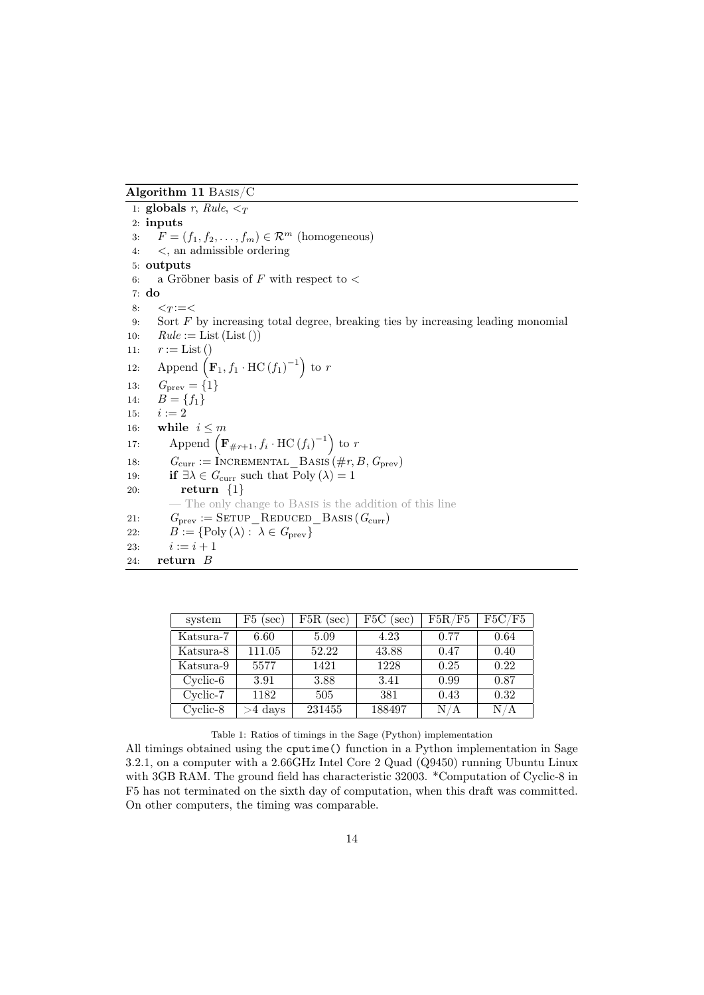<span id="page-13-0"></span>Algorithm 11 Basis/C

1: globals r, Rule,  $\leq_T$ 2: inputs 3:  $F = (f_1, f_2, \ldots, f_m) \in \mathcal{R}^m$  (homogeneous) 4: <, an admissible ordering 5: outputs 6: a Gröbner basis of F with respect to  $\lt$ 7: do  $8: \quad \leq_T := \leq$ 9: Sort F by increasing total degree, breaking ties by increasing leading monomial 10:  $Rule := List (List())$ 11:  $r := List()$ 12: Append  $\left(\mathbf{F}_1, f_1 \cdot \text{HC}(f_1)^{-1}\right)$  to r 13:  $G_{\text{prev}} = \{1\}$ 14:  $\mathbf{B} = \{f_1\}$ 15:  $i := 2$ 16: while  $i \leq m$ 17: Append  $\left(\mathbf{F}_{\#r+1}, f_i \cdot \text{HC}(f_i)^{-1}\right)$  to r 18:  $G_{\text{curr}} := \text{INCREMENTAL\_Basis}(\#r, B, G_{\text{prev}})$ 19: **if**  $\exists \lambda \in G_{\text{curr}}$  such that  $\text{Poly}(\lambda) = 1$ 20:  $return \{1\}$ The only change to BASIS is the addition of this line 21:  $G_{\text{prev}} := \text{SETUP\_REDUCED\_BASS} (G_{\text{curr}})$ 22:  $B := \{ \text{Poly}(\lambda) : \lambda \in G_{\text{prev}} \}$ 23:  $i := i + 1$ 24: return B

| system     | $F5$ (sec) | $F5R$ (sec) | $F5C$ (sec) | F5R/F5 | F5C/F5 |
|------------|------------|-------------|-------------|--------|--------|
| Katsura-7  | 6.60       | 5.09        | 4.23        | 0.77   | 0.64   |
| Katsura-8  | 111.05     | 52.22       | 43.88       | 0.47   | 0.40   |
| Katsura-9  | 5577       | 1421        | 1228        | 0.25   | 0.22   |
| $Cyclic-6$ | 3.91       | 3.88        | 3.41        | 0.99   | 0.87   |
| Cyclic-7   | 1182       | 505         | 381         | 0.43   | 0.32   |
| $Cyclic-8$ | $>4$ days  | 231455      | 188497      | N/A    | N/A    |

<span id="page-13-1"></span>Table 1: Ratios of timings in the Sage (Python) implementation

All timings obtained using the cputime() function in a Python implementation in Sage 3.2.1, on a computer with a 2.66GHz Intel Core 2 Quad (Q9450) running Ubuntu Linux with 3GB RAM. The ground field has characteristic 32003. \*Computation of Cyclic-8 in F5 has not terminated on the sixth day of computation, when this draft was committed. On other computers, the timing was comparable.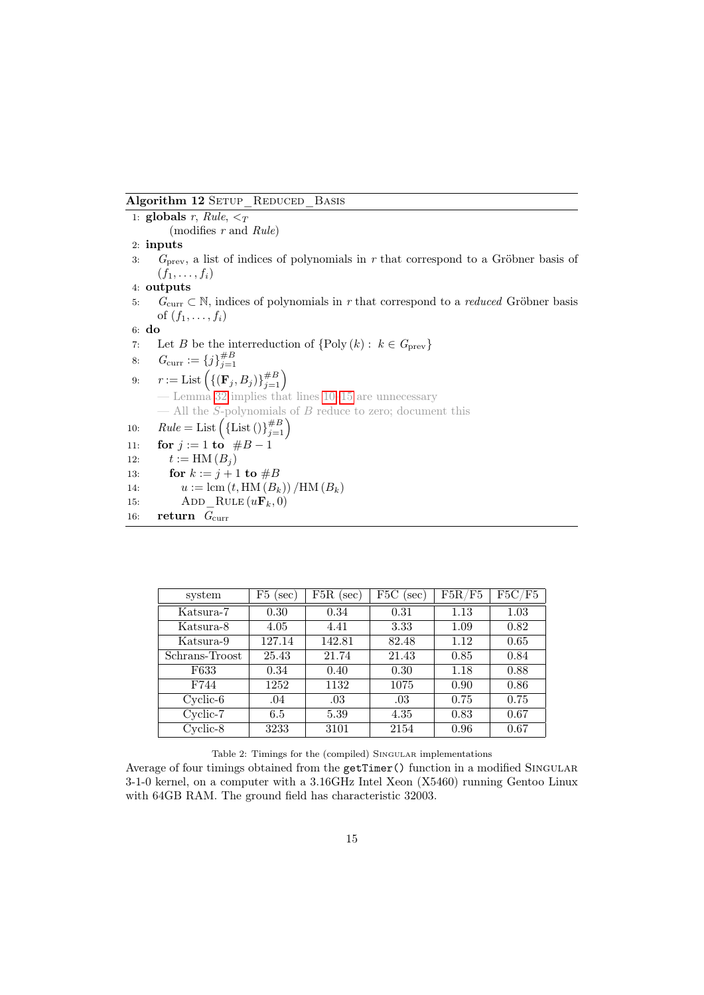# <span id="page-14-0"></span>Algorithm 12 SETUP REDUCED BASIS

```
1: globals r, Rule, \leq_T(modifies r and Rule)
 2: inputs
 3: G_{\text{prev}}, a list of indices of polynomials in r that correspond to a Gröbner basis of
       (f_1,\ldots,f_i)4: outputs
 5: G_{\text{curr}} \subset \mathbb{N}, indices of polynomials in r that correspond to a reduced Gröbner basis
       of (f_1, \ldots, f_i)6: do
 7: Let B be the interreduction of \{\text{Poly}(k): k \in G_{\text{prev}}\}8: G_{\text{curr}} := \{j\}_{j=1}^{\#B}<br>9: r := \text{List}\left(\{(\mathbf{F}_j, B_j)\}_{j=1}^{\#B}\right)— Lemma 32 implies that lines 10–15 are unnecessary
       - All the S-polynomials of B reduce to zero; document this
10: Rule = List \left( \{ List \left( \right)\}_{j=1}^{#B} \right)11: for j := 1 to #B - 112: t := HM(B_i)13: for k := j + 1 to #B14: u := \text{lcm}(t, \text{HM}(B_k)) / \text{HM}(B_k)15: ADD RULE (u\mathbf{F}_k, 0)16: return G_{\text{curr}}
```

| system         | F5<br>(sec) | $F5R$ (sec) | $_{\rm F5C}$<br>sec) | F5R/F5 | ${\rm F5C/F5}$ |
|----------------|-------------|-------------|----------------------|--------|----------------|
| Katsura-7      | 0.30        | 0.34        | 0.31                 | 1.13   | 1.03           |
| Katsura-8      | 4.05        | 4.41        | 3.33                 | 1.09   | 0.82           |
| Katsura-9      | 127.14      | 142.81      | 82.48                | 1.12   | 0.65           |
| Schrans-Troost | 25.43       | 21.74       | 21.43                | 0.85   | 0.84           |
| F633           | 0.34        | 0.40        | 0.30                 | 1.18   | 0.88           |
| F744           | 1252        | 1132        | 1075                 | 0.90   | 0.86           |
| $Cyclic-6$     | .04         | .03         | .03                  | 0.75   | 0.75           |
| Cyclic-7       | 6.5         | 5.39        | 4.35                 | 0.83   | 0.67           |
| Cyclic-8       | 3233        | 3101        | 2154                 | 0.96   | 0.67           |

<span id="page-14-1"></span>Table 2: Timings for the (compiled) SINGULAR implementations

Average of four timings obtained from the getTimer() function in a modified SINGULAR 3-1-0 kernel, on a computer with a 3.16GHz Intel Xeon (X5460) running Gentoo Linux with 64GB RAM. The ground field has characteristic 32003.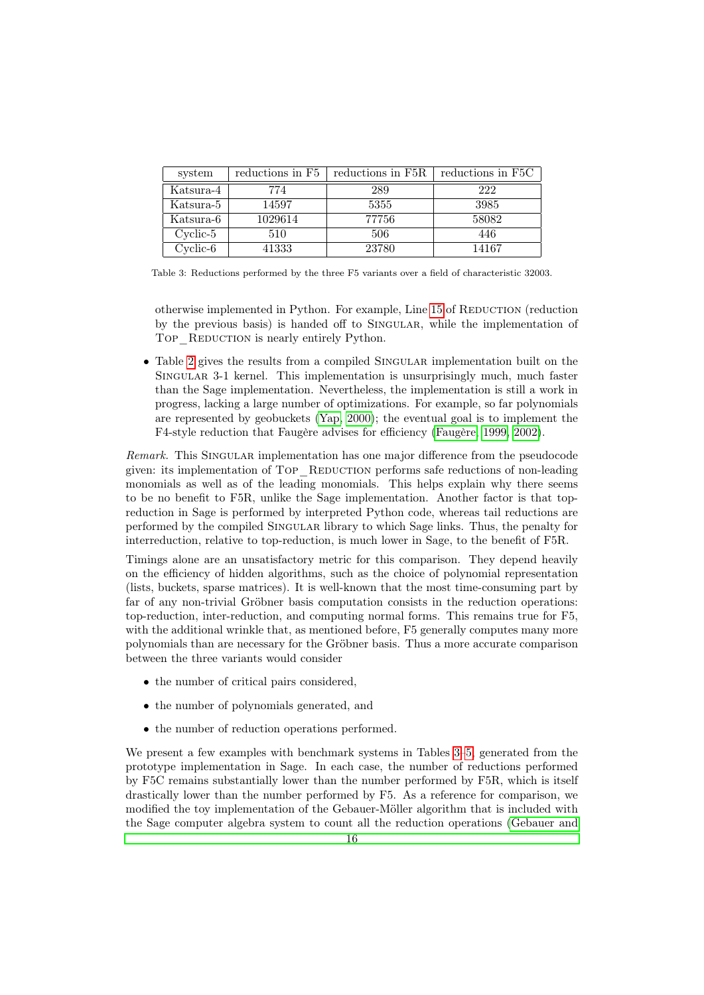| system     | reductions in F <sub>5</sub> | reductions in F5R | reductions in F5C |
|------------|------------------------------|-------------------|-------------------|
| Katsura-4  | 774                          | 289               | 222               |
| Katsura-5  | 14597                        | 5355              | 3985              |
| Katsura-6  | 1029614                      | 77756             | 58082             |
| $Cyclic-5$ | 510                          | 506               | 446               |
| $Cyclic-6$ | 41333                        | 23780             | 14167             |

<span id="page-15-0"></span>Table 3: Reductions performed by the three F5 variants over a field of characteristic 32003.

otherwise implemented in Python. For example, Line [15](#page-3-7) of REDUCTION (reduction by the previous basis) is handed off to Singular, while the implementation of TOP REDUCTION is nearly entirely Python.

• Table [2](#page-14-1) gives the results from a compiled SINGULAR implementation built on the Singular 3-1 kernel. This implementation is unsurprisingly much, much faster than the Sage implementation. Nevertheless, the implementation is still a work in progress, lacking a large number of optimizations. For example, so far polynomials are represented by geobuckets [\(Yap, 2000\)](#page-34-4); the eventual goal is to implement the F4-style reduction that Faugère advises for efficiency [\(Faugère, 1999,](#page-32-7) [2002\)](#page-32-1).

Remark. This SINGULAR implementation has one major difference from the pseudocode given: its implementation of Top\_Reduction performs safe reductions of non-leading monomials as well as of the leading monomials. This helps explain why there seems to be no benefit to F5R, unlike the Sage implementation. Another factor is that topreduction in Sage is performed by interpreted Python code, whereas tail reductions are performed by the compiled Singular library to which Sage links. Thus, the penalty for interreduction, relative to top-reduction, is much lower in Sage, to the benefit of F5R.

Timings alone are an unsatisfactory metric for this comparison. They depend heavily on the efficiency of hidden algorithms, such as the choice of polynomial representation (lists, buckets, sparse matrices). It is well-known that the most time-consuming part by far of any non-trivial Gröbner basis computation consists in the reduction operations: top-reduction, inter-reduction, and computing normal forms. This remains true for F5, with the additional wrinkle that, as mentioned before, F<sub>5</sub> generally computes many more polynomials than are necessary for the Gröbner basis. Thus a more accurate comparison between the three variants would consider

- the number of critical pairs considered,
- the number of polynomials generated, and
- the number of reduction operations performed.

We present a few examples with benchmark systems in Tables [3–](#page-15-0)[5,](#page-16-0) generated from the prototype implementation in Sage. In each case, the number of reductions performed by F5C remains substantially lower than the number performed by F5R, which is itself drastically lower than the number performed by F5. As a reference for comparison, we modified the toy implementation of the Gebauer-Möller algorithm that is included with the Sage computer algebra system to count all the reduction operations [\(Gebauer and](#page-32-8)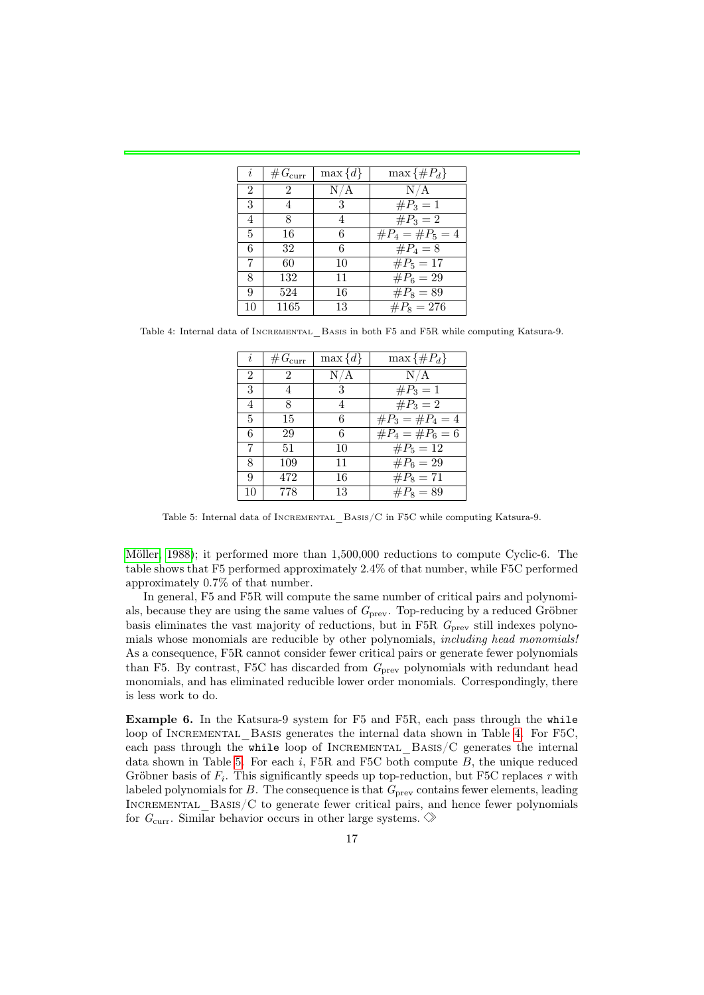| i              | # $G_{\text{curr}}$ | $\max\{d\}$ | $\max\{\#P_d\}$     |
|----------------|---------------------|-------------|---------------------|
| $\overline{2}$ | 2                   | N/A         | N/A                 |
| 3              | $\overline{4}$      | 3           | $\#P_3=1$           |
| 4              | 8                   | 4           | $\#P_3=2$           |
| 5              | 16                  | 6           | $\#P_4 = \#P_5 = 4$ |
| 6              | 32                  | 6           | $\#P_4=8$           |
| 7              | 60                  | 10          | $\#P_5=17$          |
| 8              | 132                 | 11          | $\#P_6 = 29$        |
| 9              | 524                 | 16          | $\#P_8 = 89$        |
| 10             | 1165                | 13          | $\#P_8 = 276$       |

<span id="page-16-1"></span>Table 4: Internal data of INCREMENTAL BASIS in both F5 and F5R while computing Katsura-9.

| i              | # $G_{\text{curr}}$ | $\max\{d\}$ | $\max\{\#P_d\}$     |
|----------------|---------------------|-------------|---------------------|
| $\overline{2}$ | $\mathfrak{D}$      | N/A         | N/A                 |
| 3              | 4                   | 3           | $\#P_3=1$           |
| 4              | 8                   |             | $\#P_3=2$           |
| 5              | 15                  | 6           | $\#P_3 = \#P_4 = 4$ |
| 6              | 29                  | 6           | $\#P_4 = \#P_6 = 6$ |
| 7              | 51                  | 10          | $\#P_5 = 12$        |
| 8              | 109                 | 11          | $\#P_6 = 29$        |
| 9              | 472                 | 16          | $\#P_8 = 71$        |
| 10             | 778                 | 13          | $\#P_8 = 89$        |

<span id="page-16-0"></span>Table 5: Internal data of INCREMENTAL BASIS/C in F5C while computing Katsura-9.

[Möller, 1988\)](#page-32-8); it performed more than 1,500,000 reductions to compute Cyclic-6. The table shows that F5 performed approximately 2.4% of that number, while F5C performed approximately 0.7% of that number.

In general, F5 and F5R will compute the same number of critical pairs and polynomials, because they are using the same values of  $G_{\text{prev}}$ . Top-reducing by a reduced Gröbner basis eliminates the vast majority of reductions, but in F5R  $G<sub>prev</sub>$  still indexes polynomials whose monomials are reducible by other polynomials, including head monomials! As a consequence, F5R cannot consider fewer critical pairs or generate fewer polynomials than F5. By contrast, F5C has discarded from  $G<sub>prev</sub>$  polynomials with redundant head monomials, and has eliminated reducible lower order monomials. Correspondingly, there is less work to do.

Example 6. In the Katsura-9 system for F5 and F5R, each pass through the while loop of INCREMENTAL BASIS generates the internal data shown in Table [4.](#page-16-1) For F5C, each pass through the while loop of INCREMENTAL BASIS/C generates the internal data shown in Table [5.](#page-16-0) For each  $i$ , F5R and F5C both compute  $B$ , the unique reduced Gröbner basis of  $F_i$ . This significantly speeds up top-reduction, but F5C replaces r with labeled polynomials for  $B$ . The consequence is that  $G<sub>prev</sub>$  contains fewer elements, leading INCREMENTAL  $BASIS/C$  to generate fewer critical pairs, and hence fewer polynomials for  $G_{\text{curr}}$ . Similar behavior occurs in other large systems.  $\Diamond$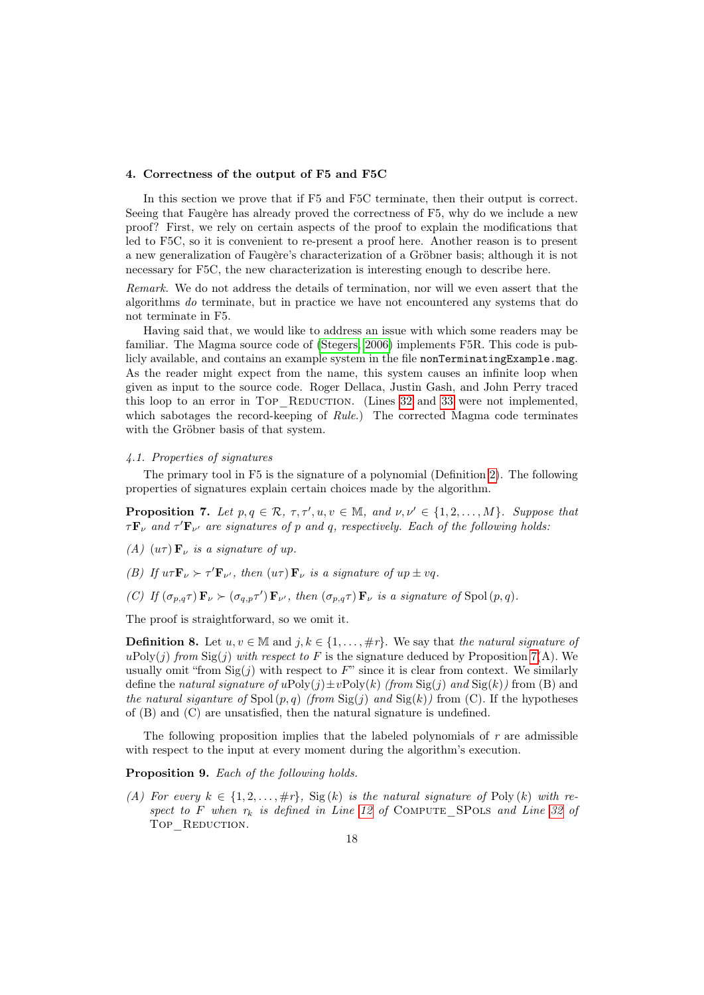#### <span id="page-17-0"></span>4. Correctness of the output of F5 and F5C

In this section we prove that if F5 and F5C terminate, then their output is correct. Seeing that Faugère has already proved the correctness of F5, why do we include a new proof? First, we rely on certain aspects of the proof to explain the modifications that led to F5C, so it is convenient to re-present a proof here. Another reason is to present a new generalization of Faugère's characterization of a Gröbner basis; although it is not necessary for F5C, the new characterization is interesting enough to describe here.

Remark. We do not address the details of termination, nor will we even assert that the algorithms do terminate, but in practice we have not encountered any systems that do not terminate in F5.

Having said that, we would like to address an issue with which some readers may be familiar. The Magma source code of [\(Stegers, 2006\)](#page-34-0) implements F5R. This code is publicly available, and contains an example system in the file nonTerminatingExample.mag. As the reader might expect from the name, this system causes an infinite loop when given as input to the source code. Roger Dellaca, Justin Gash, and John Perry traced this loop to an error in Top REDUCTION. (Lines [32](#page-8-0) and [33](#page-8-1) were not implemented, which sabotages the record-keeping of Rule.) The corrected Magma code terminates with the Gröbner basis of that system.

# <span id="page-17-1"></span>4.1. Properties of signatures

The primary tool in F5 is the signature of a polynomial (Definition [2\)](#page-7-1). The following properties of signatures explain certain choices made by the algorithm.

<span id="page-17-2"></span>**Proposition 7.** Let  $p, q \in \mathcal{R}, \tau, \tau', u, v \in \mathbb{M}, \text{ and } \nu, \nu' \in \{1, 2, ..., M\}.$  Suppose that  $\tau \mathbf{F}_{\nu}$  and  $\tau' \mathbf{F}_{\nu'}$  are signatures of p and q, respectively. Each of the following holds:

- (A)  $(u\tau)$  **F**<sub>v</sub> is a signature of up.
- (B) If  $u \tau \mathbf{F}_{\nu} \succ \tau' \mathbf{F}_{\nu'}$ , then  $(u \tau) \mathbf{F}_{\nu}$  is a signature of  $up \pm vq$ .
- (C) If  $(\sigma_{p,q}\tau)$   $\mathbf{F}_{\nu} \succ (\sigma_{q,p}\tau')$   $\mathbf{F}_{\nu'}$ , then  $(\sigma_{p,q}\tau)$   $\mathbf{F}_{\nu}$  is a signature of Spol $(p,q)$ .

The proof is straightforward, so we omit it.

**Definition 8.** Let  $u, v \in \mathbb{M}$  and  $j, k \in \{1, \ldots, \#r\}$ . We say that the natural signature of uPoly(*j*) from  $\text{Sig}(j)$  with respect to F is the signature deduced by Proposition [7\(](#page-17-2)A). We usually omit "from  $\text{Sig}(j)$  with respect to  $F$ " since it is clear from context. We similarly define the natural signature of  $u\text{Poly}(j)\pm v\text{Poly}(k)$  (from  $\text{Sig}(j)$  and  $\text{Sig}(k)$ ) from (B) and the natural siganture of Spol  $(p, q)$  (from  $\text{Sig}(j)$  and  $\text{Sig}(k)$ ) from (C). If the hypotheses of (B) and (C) are unsatisfied, then the natural signature is undefined.

The following proposition implies that the labeled polynomials of  $r$  are admissible with respect to the input at every moment during the algorithm's execution.

<span id="page-17-3"></span>Proposition 9. Each of the following holds.

(A) For every  $k \in \{1, 2, \ldots, \#r\}$ ,  $\text{Sig}(k)$  is the natural signature of Poly  $(k)$  with respect to F when  $r_k$  is defined in Line [12](#page-3-10) of COMPUTE SPOLS and Line [32](#page-8-0) of Top REDUCTION.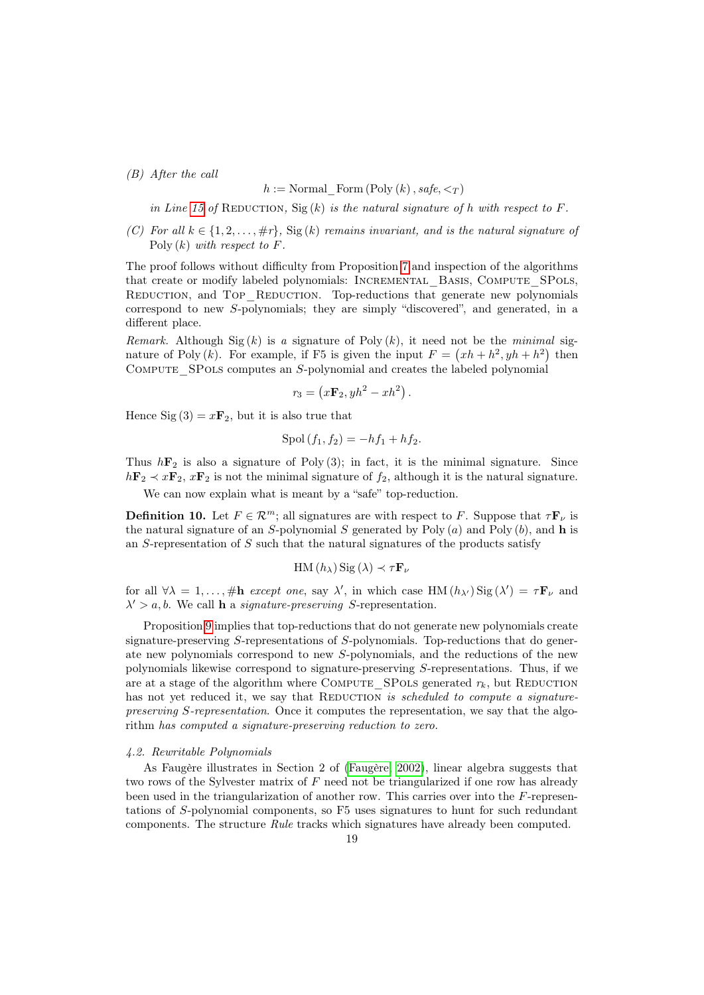# (B) After the call

# h := Normal Form  $(Poly (k), safe, <sub>T</sub>)$

in Line [15](#page-3-7) of REDUCTION, Sig  $(k)$  is the natural signature of h with respect to F.

(C) For all  $k \in \{1, 2, \ldots, \#r\}$ , Sig  $(k)$  remains invariant, and is the natural signature of  $Poly (k)$  with respect to F.

The proof follows without difficulty from Proposition [7](#page-17-2) and inspection of the algorithms that create or modify labeled polynomials: INCREMENTAL BASIS, COMPUTE SPOLS, REDUCTION, and TOP REDUCTION. Top-reductions that generate new polynomials correspond to new S-polynomials; they are simply "discovered", and generated, in a different place.

Remark. Although Sig(k) is a signature of Poly  $(k)$ , it need not be the minimal signature of Poly (k). For example, if F5 is given the input  $F = (xh + h^2, yh + h^2)$  then COMPUTE SPOLS computes an S-polynomial and creates the labeled polynomial

$$
r_3 = \left(x\mathbf{F}_2, yh^2 - xh^2\right).
$$

Hence Sig  $(3) = x\mathbf{F}_2$ , but it is also true that

$$
Spol(f_1, f_2) = -hf_1 + hf_2.
$$

Thus  $h\mathbf{F}_2$  is also a signature of Poly (3); in fact, it is the minimal signature. Since  $h\mathbf{F}_2 \prec x\mathbf{F}_2$ ,  $x\mathbf{F}_2$  is not the minimal signature of  $f_2$ , although it is the natural signature.

We can now explain what is meant by a "safe" top-reduction.

<span id="page-18-1"></span>**Definition 10.** Let  $F \in \mathcal{R}^m$ ; all signatures are with respect to F. Suppose that  $\tau \mathbf{F}_{\nu}$  is the natural signature of an S-polynomial S generated by Poly  $(a)$  and Poly  $(b)$ , and h is an S-representation of S such that the natural signatures of the products satisfy

$$
HM(h_{\lambda}) Sig(\lambda) \prec \tau \mathbf{F}_{\nu}
$$

for all  $\forall \lambda = 1, ..., \text{#h } except one, say \lambda', in which case HM  $(h_{\lambda'})$  Sig  $(\lambda') = \tau \mathbf{F}_{\nu}$  and$  $\lambda' > a, b$ . We call **h** a *signature-preserving* S-representation.

Proposition [9](#page-17-3) implies that top-reductions that do not generate new polynomials create signature-preserving S-representations of S-polynomials. Top-reductions that do generate new polynomials correspond to new S-polynomials, and the reductions of the new polynomials likewise correspond to signature-preserving S-representations. Thus, if we are at a stage of the algorithm where COMPUTE\_SPOLS generated  $r_k$ , but REDUCTION has not yet reduced it, we say that REDUCTION is scheduled to compute a signaturepreserving S-representation. Once it computes the representation, we say that the algorithm has computed a signature-preserving reduction to zero.

#### <span id="page-18-0"></span>4.2. Rewritable Polynomials

As Faugère illustrates in Section 2 of [\(Faugère, 2002\)](#page-32-1), linear algebra suggests that two rows of the Sylvester matrix of  $F$  need not be triangularized if one row has already been used in the triangularization of another row. This carries over into the F-representations of S-polynomial components, so F5 uses signatures to hunt for such redundant components. The structure Rule tracks which signatures have already been computed.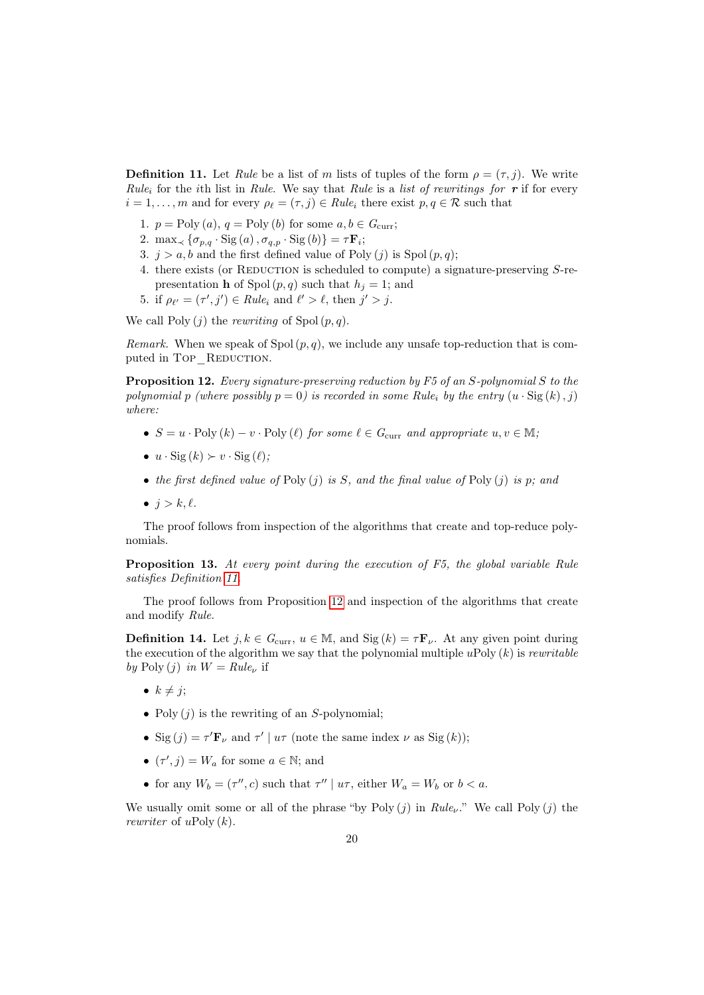<span id="page-19-0"></span>**Definition 11.** Let Rule be a list of m lists of tuples of the form  $\rho = (\tau, j)$ . We write Rule<sub>i</sub> for the ith list in Rule. We say that Rule is a list of rewritings for **r** if for every  $i = 1, \ldots, m$  and for every  $\rho_{\ell} = (\tau, j) \in Rule_i$  there exist  $p, q \in \mathcal{R}$  such that

- 1.  $p = \text{Poly}(a), q = \text{Poly}(b)$  for some  $a, b \in G_{\text{curr}}$ ;
- 2. max<sub> $\prec$ </sub>  $\{\sigma_{p,q} \cdot \text{Sig}(a), \sigma_{q,p} \cdot \text{Sig}(b)\} = \tau \mathbf{F}_i;$
- 3.  $j > a$ , b and the first defined value of Poly (j) is Spol  $(p, q)$ ;
- 4. there exists (or REDUCTION is scheduled to compute) a signature-preserving  $S$ -representation **h** of Spol $(p, q)$  such that  $h<sub>i</sub> = 1$ ; and
- 5. if  $\rho_{\ell'} = (\tau', j') \in Rule_i$  and  $\ell' > \ell$ , then  $j' > j$ .

We call  $Poly (i)$  the rewriting of  $Spol (p, q)$ .

*Remark.* When we speak of Spol  $(p, q)$ , we include any unsafe top-reduction that is computed in Top REDUCTION.

<span id="page-19-1"></span>Proposition 12. Every signature-preserving reduction by F5 of an S-polynomial S to the polynomial p (where possibly  $p = 0$ ) is recorded in some Rule<sub>i</sub> by the entry  $(u \cdot \text{Sig}(k), j)$ where:

- $S = u \cdot \text{Poly } (k) v \cdot \text{Poly } (\ell)$  for some  $\ell \in G_{\text{curr}}$  and appropriate  $u, v \in M;$
- $u \cdot \text{Sig}(k) \succ v \cdot \text{Sig}(\ell);$
- the first defined value of Poly  $(j)$  is S, and the final value of Poly  $(j)$  is p; and
- $j > k, \ell$ .

The proof follows from inspection of the algorithms that create and top-reduce polynomials.

Proposition 13. At every point during the execution of F5, the global variable Rule satisfies Definition [11.](#page-19-0)

The proof follows from Proposition [12](#page-19-1) and inspection of the algorithms that create and modify Rule.

<span id="page-19-2"></span>**Definition 14.** Let  $j, k \in G_{curr}$ ,  $u \in M$ , and  $Sig(k) = \tau \mathbf{F}_{\nu}$ . At any given point during the execution of the algorithm we say that the polynomial multiple uPoly  $(k)$  is rewritable by Poly  $(j)$  in  $W = Rule_{\nu}$  if

- $k \neq j$ ;
- Poly  $(j)$  is the rewriting of an S-polynomial;
- Sig  $(j) = \tau' \mathbf{F}_{\nu}$  and  $\tau' | u\tau$  (note the same index  $\nu$  as Sig  $(k)$ );
- $(\tau', j) = W_a$  for some  $a \in \mathbb{N}$ ; and
- for any  $W_b = (\tau'', c)$  such that  $\tau'' | u\tau$ , either  $W_a = W_b$  or  $b < a$ .

We usually omit some or all of the phrase "by Poly  $(j)$  in  $Rule_{\nu}$ ." We call Poly  $(j)$  the rewriter of  $u\text{Poly}(k)$ .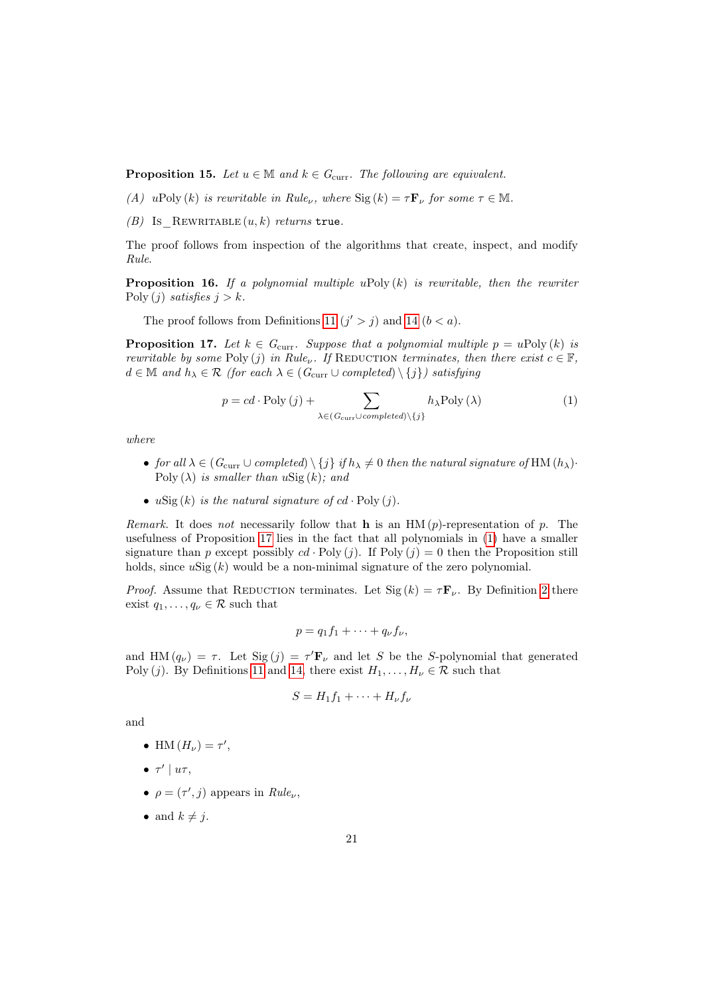<span id="page-20-2"></span>**Proposition 15.** Let  $u \in \mathbb{M}$  and  $k \in G_{\text{curr}}$ . The following are equivalent.

- (A) uPoly (k) is rewritable in Rule<sub>v</sub>, where  $\text{Sig}(k) = \tau \mathbf{F}_{\nu}$  for some  $\tau \in \mathbb{M}$ .
- (B) Is REWRITABLE  $(u, k)$  returns true.

The proof follows from inspection of the algorithms that create, inspect, and modify Rule.

**Proposition 16.** If a polynomial multiple uPoly  $(k)$  is rewritable, then the rewriter Poly  $(j)$  satisfies  $j > k$ .

The proof follows from Definitions [11](#page-19-0)  $(j' > j)$  and [14](#page-19-2)  $(b < a)$ .

<span id="page-20-0"></span>**Proposition 17.** Let  $k \in G_{\text{curr}}$ . Suppose that a polynomial multiple  $p = u \text{Poly}(k)$  is rewritable by some Poly (j) in Rule<sub>v</sub>. If REDUCTION terminates, then there exist  $c \in \mathbb{F}$ ,  $d \in \mathbb{M}$  and  $h_{\lambda} \in \mathcal{R}$  (for each  $\lambda \in (G_{\text{curr}} \cup completed) \setminus \{j\})$  satisfying

<span id="page-20-1"></span>
$$
p = cd \cdot \text{Poly} (j) + \sum_{\lambda \in (G_{\text{curr}} \cup completed) \setminus \{j\}} h_{\lambda} \text{Poly} (\lambda)
$$
 (1)

where

- for all  $\lambda \in (G_{\text{curr}} \cup completed) \setminus \{j\}$  if  $h_{\lambda} \neq 0$  then the natural signature of HM  $(h_{\lambda})$ . Poly  $(\lambda)$  is smaller than  $u\text{Sig}(k)$ ; and
- uSig  $(k)$  is the natural signature of  $cd \cdot Poly(j)$ .

Remark. It does not necessarily follow that h is an  $HM(p)$ -representation of p. The usefulness of Proposition [17](#page-20-0) lies in the fact that all polynomials in [\(1\)](#page-20-1) have a smaller signature than p except possibly  $cd \cdot Poly(j)$ . If Poly  $(j) = 0$  then the Proposition still holds, since  $u\text{Sig}(k)$  would be a non-minimal signature of the zero polynomial.

*Proof.* Assume that REDUCTION terminates. Let Sig  $(k) = \tau \mathbf{F}_{\nu}$ . By Definition [2](#page-7-1) there exist  $q_1, \ldots, q_{\nu} \in \mathcal{R}$  such that

$$
p=q_1f_1+\cdots+q_\nu f_\nu,
$$

and HM  $(q_{\nu}) = \tau$ . Let Sig  $(j) = \tau' \mathbf{F}_{\nu}$  and let S be the S-polynomial that generated Poly (j). By Definitions [11](#page-19-0) and [14,](#page-19-2) there exist  $H_1, \ldots, H_{\nu} \in \mathcal{R}$  such that

$$
S = H_1 f_1 + \cdots + H_\nu f_\nu
$$

and

- HM  $(H_{\nu}) = \tau',$
- $\bullet$   $\tau' \mid u\tau$ ,
- $\rho = (\tau', j)$  appears in  $Rule_{\nu}$ ,
- and  $k \neq j$ .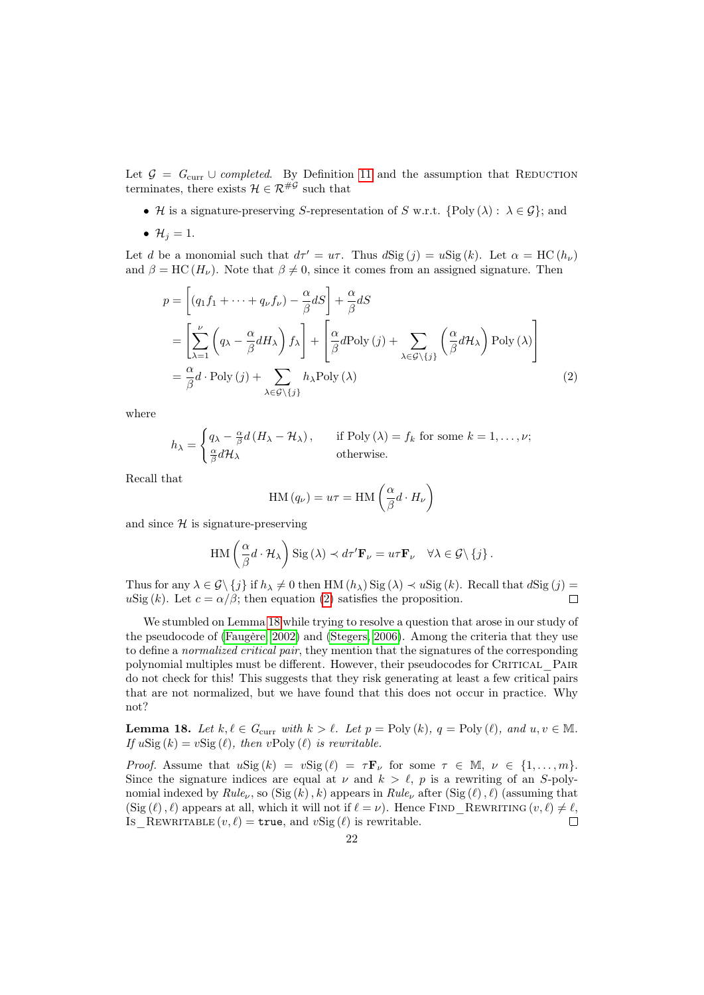Let  $\mathcal{G} = G_{\text{curr}} \cup completed$ . By Definition [11](#page-19-0) and the assumption that REDUCTION terminates, there exists  $\mathcal{H} \in \mathcal{R}^{\# \mathcal{G}}$  such that

- H is a signature-preserving S-representation of S w.r.t. {Poly ( $\lambda$ ) :  $\lambda \in \mathcal{G}$ }; and
- $\mathcal{H}_i = 1$ .

Let d be a monomial such that  $d\tau' = u\tau$ . Thus  $dSig (j) = uSig (k)$ . Let  $\alpha = \text{HC}(h_{\nu})$ and  $\beta = \text{HC} (H_{\nu})$ . Note that  $\beta \neq 0$ , since it comes from an assigned signature. Then

$$
p = \left[ (q_1 f_1 + \dots + q_\nu f_\nu) - \frac{\alpha}{\beta} dS \right] + \frac{\alpha}{\beta} dS
$$
  
\n
$$
= \left[ \sum_{\lambda=1}^\nu \left( q_\lambda - \frac{\alpha}{\beta} dH_\lambda \right) f_\lambda \right] + \left[ \frac{\alpha}{\beta} d\text{Poly}(j) + \sum_{\lambda \in \mathcal{G} \setminus \{j\}} \left( \frac{\alpha}{\beta} dH_\lambda \right) \text{Poly}(\lambda) \right]
$$
  
\n
$$
= \frac{\alpha}{\beta} d \cdot \text{Poly}(j) + \sum_{\lambda \in \mathcal{G} \setminus \{j\}} h_\lambda \text{Poly}(\lambda) \tag{2}
$$

where

$$
h_{\lambda} = \begin{cases} q_{\lambda} - \frac{\alpha}{\beta} d \left( H_{\lambda} - \mathcal{H}_{\lambda} \right), & \text{if Poly}(\lambda) = f_k \text{ for some } k = 1, \dots, \nu; \\ \frac{\alpha}{\beta} d\mathcal{H}_{\lambda} & \text{otherwise.} \end{cases}
$$

Recall that

<span id="page-21-0"></span>
$$
HM(q_{\nu}) = u\tau = HM\left(\frac{\alpha}{\beta}d \cdot H_{\nu}\right)
$$

and since  $H$  is signature-preserving

$$
\mathrm{HM}\left(\frac{\alpha}{\beta}d\cdot\mathcal{H}_{\lambda}\right)\mathrm{Sig}\left(\lambda\right) \prec d\tau'\mathbf{F}_{\nu}=u\tau\mathbf{F}_{\nu}\quad\forall\lambda\in\mathcal{G}\setminus\{j\}.
$$

Thus for any  $\lambda \in \mathcal{G}\setminus \{j\}$  if  $h_{\lambda} \neq 0$  then HM  $(h_{\lambda})$  Sig  $(\lambda) \prec u$  Sig  $(k)$ . Recall that  $d$  Sig  $(j)$  = uSig (k). Let  $c = \alpha/\beta$ ; then equation [\(2\)](#page-21-0) satisfies the proposition.  $\Box$ 

We stumbled on Lemma [18](#page-21-1) while trying to resolve a question that arose in our study of the pseudocode of [\(Faugère, 2002\)](#page-32-1) and [\(Stegers, 2006\)](#page-34-0). Among the criteria that they use to define a normalized critical pair, they mention that the signatures of the corresponding polynomial multiples must be different. However, their pseudocodes for CRITICAL PAIR do not check for this! This suggests that they risk generating at least a few critical pairs that are not normalized, but we have found that this does not occur in practice. Why not?

<span id="page-21-1"></span>**Lemma 18.** Let  $k, \ell \in G_{\text{curr}}$  with  $k > \ell$ . Let  $p = \text{Poly}(k), q = \text{Poly}(\ell),$  and  $u, v \in \mathbb{M}$ . If  $u\text{Sig}(k) = v\text{Sig}(\ell)$ , then  $v\text{Poly}(\ell)$  is rewritable.

*Proof.* Assume that  $u\text{Sig}(k) = v\text{Sig}(\ell) = \tau \mathbf{F}_{\nu}$  for some  $\tau \in \mathbb{M}, \nu \in \{1, ..., m\}$ . Since the signature indices are equal at  $\nu$  and  $k > \ell$ , p is a rewriting of an S-polynomial indexed by  $Rule_{\nu}$ , so  $(Sig (k), k)$  appears in  $Rule_{\nu}$  after  $(Sig (\ell), \ell)$  (assuming that  $(\text{Sig } (\ell), \ell)$  appears at all, which it will not if  $\ell = \nu$ ). Hence FIND REWRITING  $(v, \ell) \neq \ell$ , Is REWRITABLE  $(v, \ell) = \text{true}$ , and  $v\text{Sig} (\ell)$  is rewritable.  $\Box$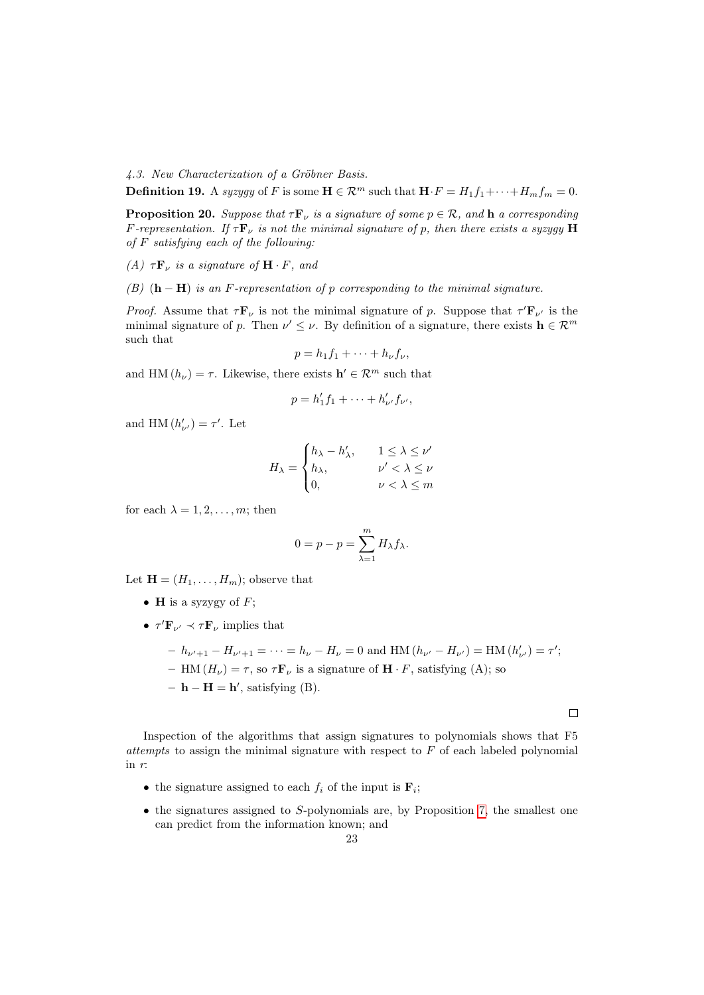4.3. New Characterization of a Gröbner Basis.

**Definition 19.** A syzygy of F is some  $\mathbf{H} \in \mathcal{R}^m$  such that  $\mathbf{H} \cdot F = H_1 f_1 + \cdots + H_m f_m = 0$ .

<span id="page-22-0"></span>**Proposition 20.** Suppose that  $\tau \mathbf{F}_{\nu}$  is a signature of some  $p \in \mathcal{R}$ , and **h** a corresponding F-representation. If  $\tau \mathbf{F}_{\nu}$  is not the minimal signature of p, then there exists a syzygy H of  $F$  satisfying each of the following:

(A)  $\tau \mathbf{F}_{\nu}$  is a signature of  $\mathbf{H} \cdot F$ , and

(B)  $(h - H)$  is an F-representation of p corresponding to the minimal signature.

*Proof.* Assume that  $\tau \mathbf{F}_{\nu}$  is not the minimal signature of p. Suppose that  $\tau' \mathbf{F}_{\nu'}$  is the minimal signature of p. Then  $\nu' \leq \nu$ . By definition of a signature, there exists  $\mathbf{h} \in \mathcal{R}^m$ such that

$$
p = h_1 f_1 + \cdots + h_\nu f_\nu,
$$

and HM  $(h_{\nu}) = \tau$ . Likewise, there exists  $\mathbf{h}' \in \mathcal{R}^{m}$  such that

$$
p = h'_1 f_1 + \dots + h'_{\nu'} f_{\nu'},
$$

and HM  $(h'_{\nu'}) = \tau'.$  Let

$$
H_{\lambda} = \begin{cases} h_{\lambda} - h'_{\lambda}, & 1 \leq \lambda \leq \nu' \\ h_{\lambda}, & \nu' < \lambda \leq \nu \\ 0, & \nu < \lambda \leq m \end{cases}
$$

for each  $\lambda = 1, 2, \ldots, m$ ; then

$$
0 = p - p = \sum_{\lambda=1}^{m} H_{\lambda} f_{\lambda}.
$$

Let  $\mathbf{H} = (H_1, \ldots, H_m)$ ; observe that

- **H** is a syzygy of  $F$ ;
- $\tau' \mathbf{F}_{\nu'} \prec \tau \mathbf{F}_{\nu}$  implies that

$$
- h_{\nu'+1} - H_{\nu'+1} = \dots = h_{\nu} - H_{\nu} = 0 \text{ and HM } (h_{\nu'} - H_{\nu'}) = \text{HM } (h'_{\nu'}) = \tau';
$$
  
- HM  $(H_{\nu}) = \tau$ , so  $\tau \mathbf{F}_{\nu}$  is a signature of  $\mathbf{H} \cdot F$ , satisfying (A); so  
-  $\mathbf{h} - \mathbf{H} = \mathbf{h'}$ , satisfying (B).

 $\Box$ 

Inspection of the algorithms that assign signatures to polynomials shows that F5 attempts to assign the minimal signature with respect to  $F$  of each labeled polynomial in r:

- the signature assigned to each  $f_i$  of the input is  $\mathbf{F}_i$ ;
- $\bullet$  the signatures assigned to S-polynomials are, by Proposition [7,](#page-17-2) the smallest one can predict from the information known; and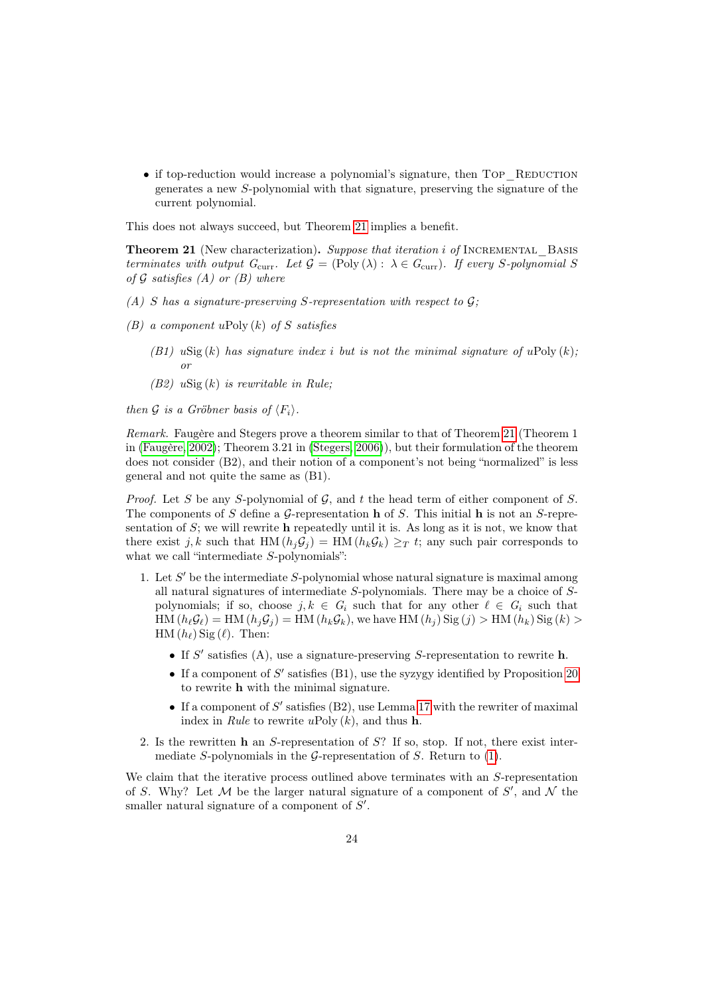$\bullet$  if top-reduction would increase a polynomial's signature, then TOP\_REDUCTION generates a new S-polynomial with that signature, preserving the signature of the current polynomial.

This does not always succeed, but Theorem [21](#page-23-0) implies a benefit.

<span id="page-23-0"></span>Theorem 21 (New characterization). Suppose that iteration i of INCREMENTAL BASIS terminates with output  $G_{\text{curr}}$ . Let  $\mathcal{G} = (\text{Poly } (\lambda) : \lambda \in G_{\text{curr}})$ . If every S-polynomial S of  $G$  satisfies  $(A)$  or  $(B)$  where

- (A) S has a signature-preserving S-representation with respect to  $\mathcal{G}$ ;
- $(B)$  a component uPoly  $(k)$  of S satisfies
	- (B1) uSig(k) has signature index i but is not the minimal signature of uPoly(k); or
	- (B2)  $u\text{Sig}(k)$  is rewritable in Rule;

then G is a Gröbner basis of  $\langle F_i \rangle$ .

Remark. Faugère and Stegers prove a theorem similar to that of Theorem [21](#page-23-0) (Theorem 1 in [\(Faugère, 2002\)](#page-32-1); Theorem 3.21 in [\(Stegers, 2006\)](#page-34-0)), but their formulation of the theorem does not consider (B2), and their notion of a component's not being "normalized" is less general and not quite the same as (B1).

*Proof.* Let S be any S-polynomial of G, and t the head term of either component of S. The components of S define a G-representation **h** of S. This initial **h** is not an S-representation of  $S$ ; we will rewrite h repeatedly until it is. As long as it is not, we know that there exist j, k such that HM  $(h_i \mathcal{G}_i) = \text{HM}(h_k \mathcal{G}_k) \geq_T t$ ; any such pair corresponds to what we call "intermediate S-polynomials":

- <span id="page-23-1"></span>1. Let  $S'$  be the intermediate  $S$ -polynomial whose natural signature is maximal among all natural signatures of intermediate S-polynomials. There may be a choice of Spolynomials; if so, choose  $j, k \in G_i$  such that for any other  $\ell \in G_i$  such that  $HM(h_{\ell}\mathcal{G}_{\ell}) = HM(h_{j}\mathcal{G}_{j}) = HM(h_{k}\mathcal{G}_{k}),$  we have  $HM(h_{j})$  Sig  $(j) > HM(h_{k})$  Sig  $(k) >$  $HM(h_{\ell})$  Sig  $(\ell)$ . Then:
	- If  $S'$  satisfies (A), use a signature-preserving S-representation to rewrite h.
	- If a component of  $S'$  satisfies (B1), use the syzygy identified by Proposition [20](#page-22-0) to rewrite h with the minimal signature.
	- If a component of  $S'$  satisfies (B2), use Lemma [17](#page-20-0) with the rewriter of maximal index in Rule to rewrite uPoly  $(k)$ , and thus h.
- 2. Is the rewritten h an S-representation of S? If so, stop. If not, there exist intermediate S-polynomials in the G-representation of S. Return to  $(1)$ .

We claim that the iterative process outlined above terminates with an S-representation of S. Why? Let  $\mathcal M$  be the larger natural signature of a component of  $S'$ , and  $\mathcal N$  the smaller natural signature of a component of  $S'$ .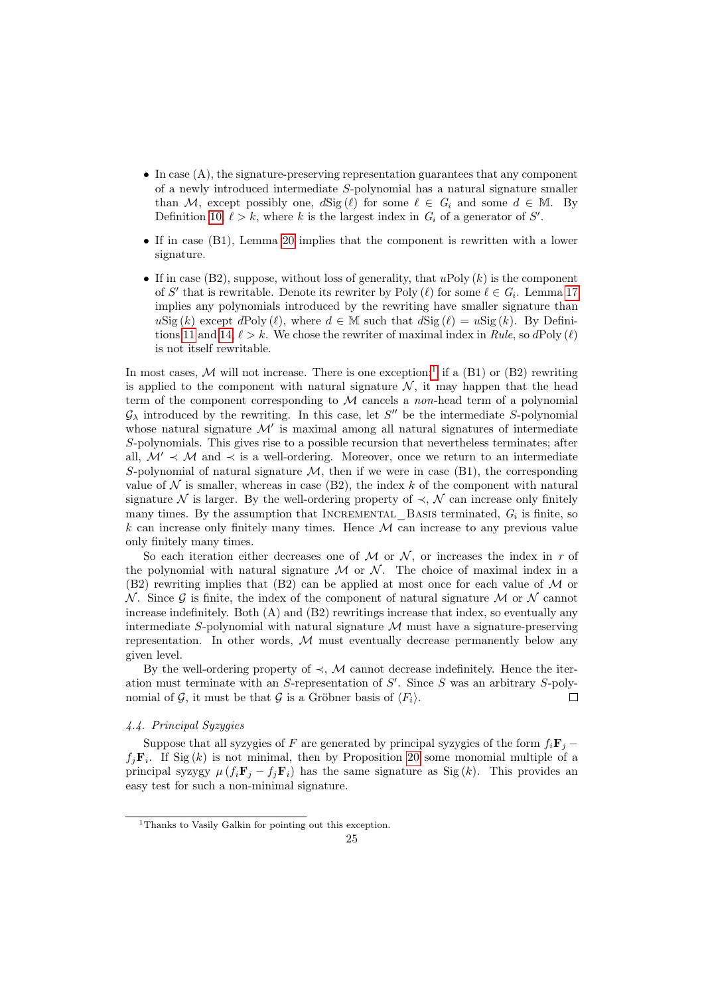- $\bullet$  In case  $(A)$ , the signature-preserving representation guarantees that any component of a newly introduced intermediate S-polynomial has a natural signature smaller than M, except possibly one,  $d\text{Sig}(\ell)$  for some  $\ell \in G_i$  and some  $d \in M$ . By Definition [10,](#page-18-1)  $\ell > k$ , where k is the largest index in  $G_i$  of a generator of S'.
- If in case (B1), Lemma [20](#page-22-0) implies that the component is rewritten with a lower signature.
- If in case (B2), suppose, without loss of generality, that  $u\text{Poly } (k)$  is the component of S' that is rewritable. Denote its rewriter by Poly  $(\ell)$  for some  $\ell \in G_i$ . Lemma [17](#page-20-0) implies any polynomials introduced by the rewriting have smaller signature than  $u\text{Sig}(k)$  except  $d\text{Poly}(\ell)$ , where  $d \in \mathbb{M}$  such that  $d\text{Sig}(\ell) = u\text{Sig}(k)$ . By Defini-tions [11](#page-19-0) and [14,](#page-19-2)  $\ell > k$ . We chose the rewriter of maximal index in Rule, so dPoly  $(\ell)$ is not itself rewritable.

In most cases,  $M$  will not increase. There is one exception:<sup>[1](#page-24-1)</sup> if a (B1) or (B2) rewriting is applied to the component with natural signature  $N$ , it may happen that the head term of the component corresponding to M cancels a non-head term of a polynomial  $\mathcal{G}_{\lambda}$  introduced by the rewriting. In this case, let  $S''$  be the intermediate S-polynomial whose natural signature  $\mathcal{M}'$  is maximal among all natural signatures of intermediate S-polynomials. This gives rise to a possible recursion that nevertheless terminates; after all,  $\mathcal{M}' \prec \mathcal{M}$  and  $\prec$  is a well-ordering. Moreover, once we return to an intermediate S-polynomial of natural signature  $\mathcal{M}$ , then if we were in case (B1), the corresponding value of  $N$  is smaller, whereas in case (B2), the index k of the component with natural signature N is larger. By the well-ordering property of  $\prec$ , N can increase only finitely many times. By the assumption that  $\text{INCREMENTAL}\_\text{BASSI}$  terminated,  $G_i$  is finite, so  $k$  can increase only finitely many times. Hence  $M$  can increase to any previous value only finitely many times.

So each iteration either decreases one of  $\mathcal M$  or  $\mathcal N$ , or increases the index in r of the polynomial with natural signature  $\mathcal M$  or  $\mathcal N$ . The choice of maximal index in a  $(B2)$  rewriting implies that  $(B2)$  can be applied at most once for each value of M or N. Since  $\mathcal G$  is finite, the index of the component of natural signature M or N cannot increase indefinitely. Both  $(A)$  and  $(B2)$  rewritings increase that index, so eventually any intermediate S-polynomial with natural signature  $M$  must have a signature-preserving representation. In other words,  $M$  must eventually decrease permanently below any given level.

By the well-ordering property of  $\prec$ , M cannot decrease indefinitely. Hence the iteration must terminate with an  $S$ -representation of  $S'$ . Since  $S$  was an arbitrary  $S$ -polynomial of G, it must be that G is a Gröbner basis of  $\langle F_i \rangle$ .  $\Box$ 

# <span id="page-24-0"></span>4.4. Principal Syzygies

Suppose that all syzygies of F are generated by principal syzygies of the form  $f_i\mathbf{F}_i$  −  $f_j \mathbf{F}_i$ . If Sig(k) is not minimal, then by Proposition [20](#page-22-0) some monomial multiple of a principal syzygy  $\mu(f_i\mathbf{F}_i - f_j\mathbf{F}_i)$  has the same signature as  $\text{Sig}(k)$ . This provides an easy test for such a non-minimal signature.

<span id="page-24-1"></span><sup>&</sup>lt;sup>1</sup>Thanks to Vasily Galkin for pointing out this exception.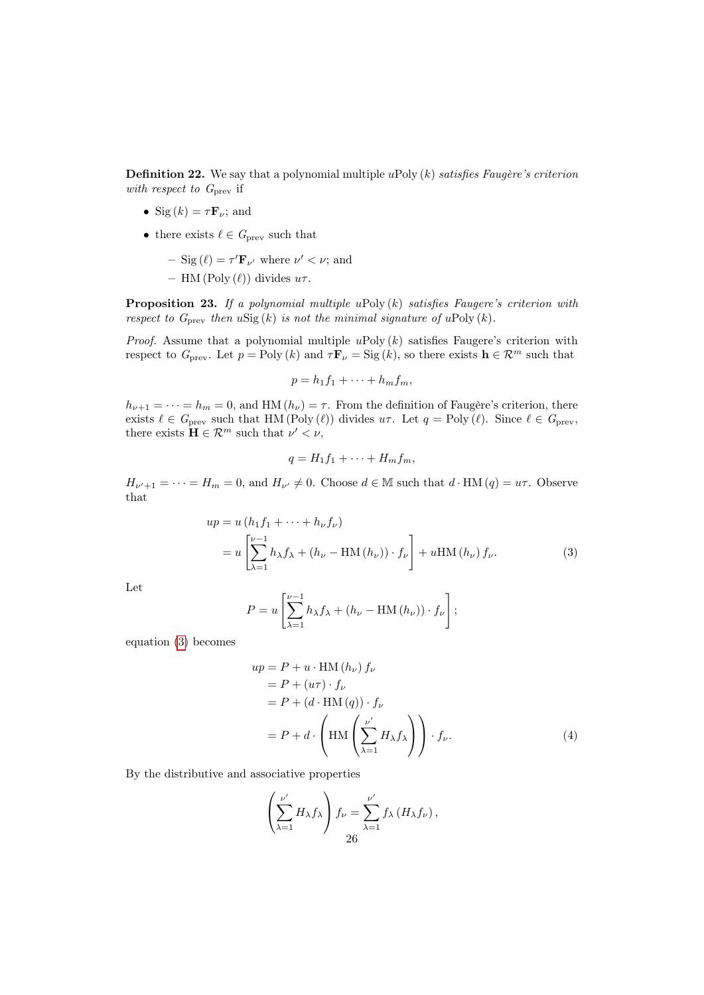**Definition 22.** We say that a polynomial multiple uPoly  $(k)$  satisfies Faugère's criterion with respect to  $G_{\text{prev}}$  if

- Sig  $(k) = \tau \mathbf{F}_{\nu}$ ; and
- there exists  $\ell \in G_{\text{prev}}$  such that
	- $-$  Sig  $(\ell) = \tau' \mathbf{F}_{\nu'}$  where  $\nu' < \nu$ ; and
	- HM (Poly  $(\ell)$ ) divides  $u\tau$ .

<span id="page-25-2"></span>**Proposition 23.** If a polynomial multiple uPoly  $(k)$  satisfies Faugere's criterion with respect to  $G_{\text{prev}}$  then  $u\text{Sig}(k)$  is not the minimal signature of  $u\text{Poly}(k)$ .

*Proof.* Assume that a polynomial multiple  $u$ Poly  $(k)$  satisfies Faugere's criterion with respect to  $G_{\text{prev}}$ . Let  $p = \text{Poly } (k)$  and  $\tau \mathbf{F}_{\nu} = \text{Sig } (k)$ , so there exists  $\mathbf{h} \in \mathcal{R}^{m}$  such that

$$
p = h_1 f_1 + \cdots + h_m f_m,
$$

 $h_{\nu+1} = \cdots = h_m = 0$ , and HM  $(h_{\nu}) = \tau$ . From the definition of Faugère's criterion, there exists  $\ell \in G_{\text{prev}}$  such that HM (Poly  $(\ell)$ ) divides  $u\tau$ . Let  $q = \text{Poly}(\ell)$ . Since  $\ell \in G_{\text{prev}}$ , there exists  $\mathbf{H} \in \mathcal{R}^m$  such that  $\nu' < \nu$ ,

<span id="page-25-0"></span>
$$
q = H_1 f_1 + \cdots + H_m f_m,
$$

 $H_{\nu'+1} = \cdots = H_m = 0$ , and  $H_{\nu'} \neq 0$ . Choose  $d \in \mathbb{M}$  such that  $d \cdot HM(q) = u\tau$ . Observe that

$$
up = u (h_1 f_1 + \dots + h_\nu f_\nu)
$$
  
= 
$$
u \left[ \sum_{\lambda=1}^{\nu-1} h_\lambda f_\lambda + (h_\nu - \text{HM} (h_\nu)) \cdot f_\nu \right] + u \text{HM} (h_\nu) f_\nu.
$$
 (3)

Let

$$
P = u \left[ \sum_{\lambda=1}^{\nu-1} h_{\lambda} f_{\lambda} + (h_{\nu} - \text{HM} (h_{\nu})) \cdot f_{\nu} \right];
$$

equation [\(3\)](#page-25-0) becomes

$$
up = P + u \cdot HM(h_{\nu}) f_{\nu}
$$
  
= P + (u $\tau$ ) \cdot f\_{\nu}  
= P + (d \cdot HM(q)) \cdot f\_{\nu}  
= P + d \cdot \left( HM \left( \sum\_{\lambda=1}^{\nu'} H\_{\lambda} f\_{\lambda} \right) \right) \cdot f\_{\nu}. (4)

By the distributive and associative properties

<span id="page-25-1"></span>
$$
\left(\sum_{\lambda=1}^{\nu'} H_{\lambda} f_{\lambda}\right) f_{\nu} = \sum_{\lambda=1}^{\nu'} f_{\lambda} \left(H_{\lambda} f_{\nu}\right),
$$
  
26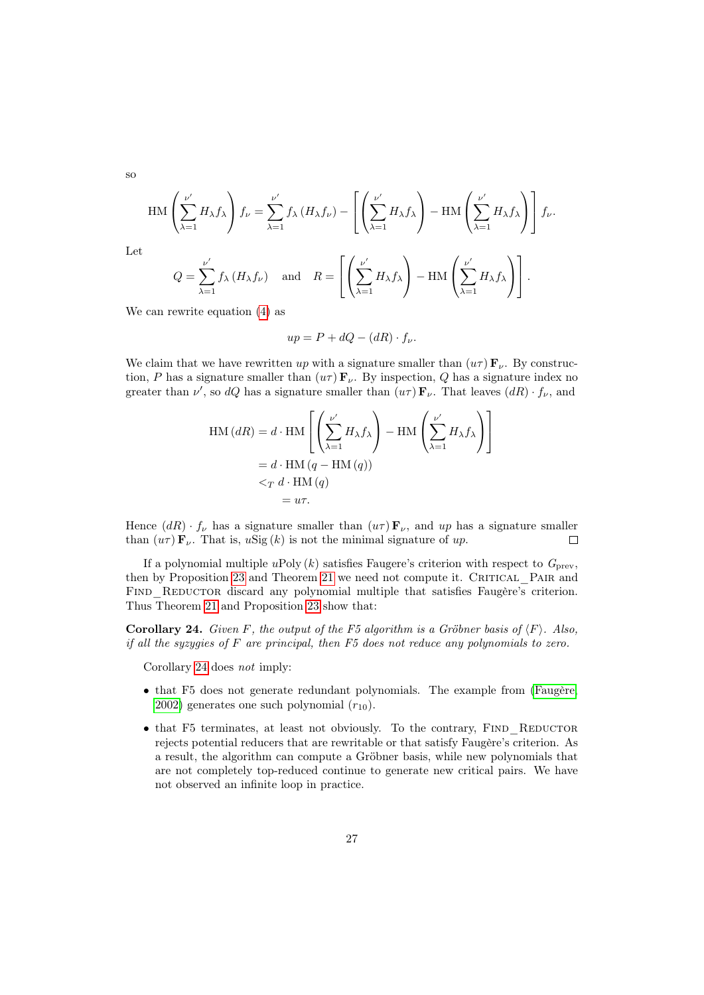so

Let

$$
\operatorname{HM}\left(\sum_{\lambda=1}^{\nu'} H_{\lambda} f_{\lambda}\right) f_{\nu} = \sum_{\lambda=1}^{\nu'} f_{\lambda} \left(H_{\lambda} f_{\nu}\right) - \left[\left(\sum_{\lambda=1}^{\nu'} H_{\lambda} f_{\lambda}\right) - \operatorname{HM}\left(\sum_{\lambda=1}^{\nu'} H_{\lambda} f_{\lambda}\right)\right] f_{\nu}.
$$
  

$$
Q = \sum_{\lambda=1}^{\nu'} f_{\lambda} \left(H_{\lambda} f_{\nu}\right) \quad \text{and} \quad R = \left[\left(\sum_{\lambda=1}^{\nu'} H_{\lambda} f_{\lambda}\right) - \operatorname{HM}\left(\sum_{\lambda=1}^{\nu'} H_{\lambda} f_{\lambda}\right)\right].
$$

We can rewrite equation [\(4\)](#page-25-1) as

$$
up = P + dQ - (dR) \cdot f_{\nu}.
$$

We claim that we have rewritten up with a signature smaller than  $(u\tau) \mathbf{F}_{\nu}$ . By construction, P has a signature smaller than  $(u\tau)$   $\mathbf{F}_{\nu}$ . By inspection, Q has a signature index no greater than  $\nu'$ , so dQ has a signature smaller than  $(u\tau) \mathbf{F}_{\nu}$ . That leaves  $(dR) \cdot f_{\nu}$ , and

$$
\text{HM}(dR) = d \cdot \text{HM}\left[\left(\sum_{\lambda=1}^{\nu'} H_{\lambda} f_{\lambda}\right) - \text{HM}\left(\sum_{\lambda=1}^{\nu'} H_{\lambda} f_{\lambda}\right)\right]
$$

$$
= d \cdot \text{HM}(q - \text{HM}(q))
$$

$$
<_{T} d \cdot \text{HM}(q)
$$

$$
= u\tau.
$$

Hence  $(dR) \cdot f_{\nu}$  has a signature smaller than  $(u\tau) \mathbf{F}_{\nu}$ , and up has a signature smaller than  $(u\tau) \mathbf{F}_{\nu}$ . That is,  $u\text{Sig}(k)$  is not the minimal signature of up.  $\Box$ 

If a polynomial multiple uPoly  $(k)$  satisfies Faugere's criterion with respect to  $G_{\text{prev}}$ , then by Proposition [23](#page-25-2) and Theorem [21](#page-23-0) we need not compute it. CRITICAL PAIR and FIND REDUCTOR discard any polynomial multiple that satisfies Faugère's criterion. Thus Theorem [21](#page-23-0) and Proposition [23](#page-25-2) show that:

<span id="page-26-0"></span>**Corollary 24.** Given F, the output of the F5 algorithm is a Gröbner basis of  $\langle F \rangle$ . Also, if all the syzygies of  $F$  are principal, then  $F5$  does not reduce any polynomials to zero.

Corollary [24](#page-26-0) does not imply:

- that F5 does not generate redundant polynomials. The example from [\(Faugère,](#page-32-1) [2002\)](#page-32-1) generates one such polynomial  $(r_{10})$ .
- $\bullet$  that F5 terminates, at least not obviously. To the contrary, FIND REDUCTOR rejects potential reducers that are rewritable or that satisfy Faugère's criterion. As a result, the algorithm can compute a Gröbner basis, while new polynomials that are not completely top-reduced continue to generate new critical pairs. We have not observed an infinite loop in practice.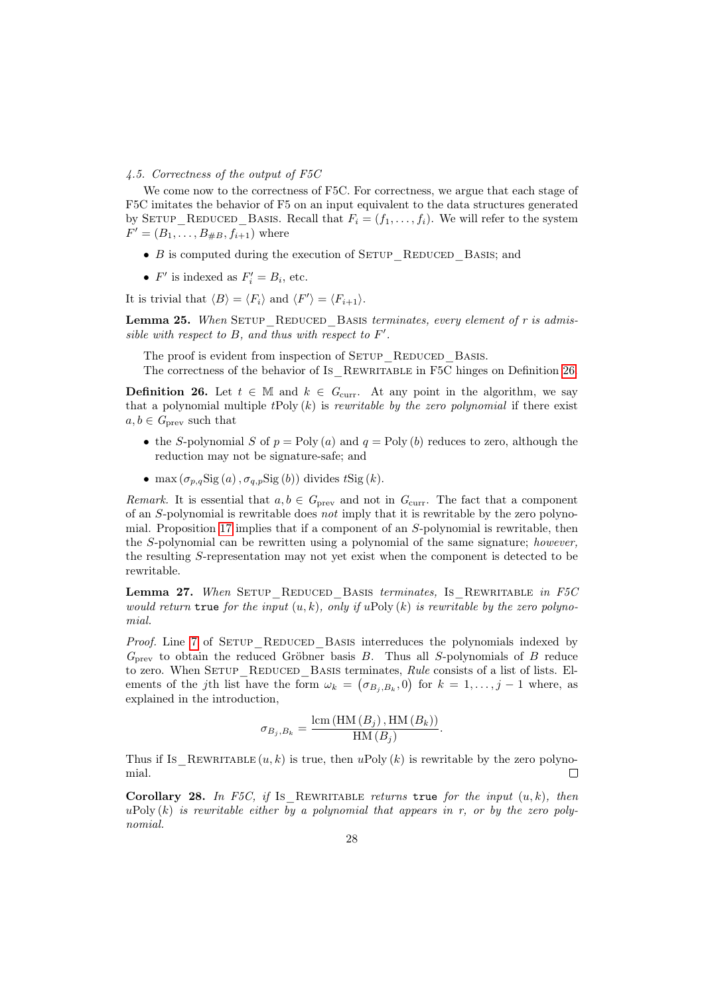#### <span id="page-27-0"></span>4.5. Correctness of the output of F5C

We come now to the correctness of F5C. For correctness, we argue that each stage of F5C imitates the behavior of F5 on an input equivalent to the data structures generated by SETUP\_REDUCED\_BASIS. Recall that  $F_i = (f_1, \ldots, f_i)$ . We will refer to the system  $F' = (B_1, \ldots, B_{\#B}, f_{i+1})$  where

- $B$  is computed during the execution of SETUP REDUCED BASIS; and
- $F'$  is indexed as  $F'_i = B_i$ , etc.

It is trivial that  $\langle B \rangle = \langle F_i \rangle$  and  $\langle F' \rangle = \langle F_{i+1} \rangle$ .

<span id="page-27-3"></span>Lemma 25. When SETUP REDUCED BASIS terminates, every element of r is admissible with respect to  $B$ , and thus with respect to  $F'$ .

The proof is evident from inspection of SETUP REDUCED BASIS. The correctness of the behavior of Is REWRITABLE in F5C hinges on Definition [26.](#page-27-1)

<span id="page-27-1"></span>**Definition 26.** Let  $t \in \mathbb{M}$  and  $k \in G_{\text{curr}}$ . At any point in the algorithm, we say that a polynomial multiple  $tPoly(k)$  is *rewritable by the zero polynomial* if there exist  $a, b \in G_{\text{prev}}$  such that

- the S-polynomial S of  $p = Poly(a)$  and  $q = Poly(b)$  reduces to zero, although the reduction may not be signature-safe; and
- max  $(\sigma_{p,q}$ Sig $(a), \sigma_{q,p}$ Sig $(b))$  divides tSig $(k)$ .

Remark. It is essential that  $a, b \in G_{\text{prev}}$  and not in  $G_{\text{curr}}$ . The fact that a component of an S-polynomial is rewritable does not imply that it is rewritable by the zero polynomial. Proposition [17](#page-20-0) implies that if a component of an S-polynomial is rewritable, then the S-polynomial can be rewritten using a polynomial of the same signature; however, the resulting S-representation may not yet exist when the component is detected to be rewritable.

<span id="page-27-2"></span>Lemma 27. When SETUP REDUCED BASIS terminates, Is REWRITABLE in F5C would return true for the input  $(u, k)$ , only if uPoly  $(k)$  is rewritable by the zero polynomial.

Proof. Line [7](#page-3-11) of SETUP REDUCED BASIS interreduces the polynomials indexed by  $G_{\text{prev}}$  to obtain the reduced Gröbner basis B. Thus all S-polynomials of B reduce to zero. When SETUP REDUCED BASIS terminates, Rule consists of a list of lists. Elements of the jth list have the form  $\omega_k = (\sigma_{B_j, B_k}, 0)$  for  $k = 1, \ldots, j-1$  where, as explained in the introduction,

$$
\sigma_{B_j, B_k} = \frac{\text{lcm}(\text{HM} (B_j), \text{HM} (B_k))}{\text{HM} (B_j)}.
$$

Thus if Is REWRITABLE  $(u, k)$  is true, then uPoly  $(k)$  is rewritable by the zero polynomial.  $\Box$ 

<span id="page-27-4"></span>Corollary 28. In F5C, if Is REWRITABLE returns true for the input  $(u, k)$ , then uPoly  $(k)$  is rewritable either by a polynomial that appears in r, or by the zero polynomial.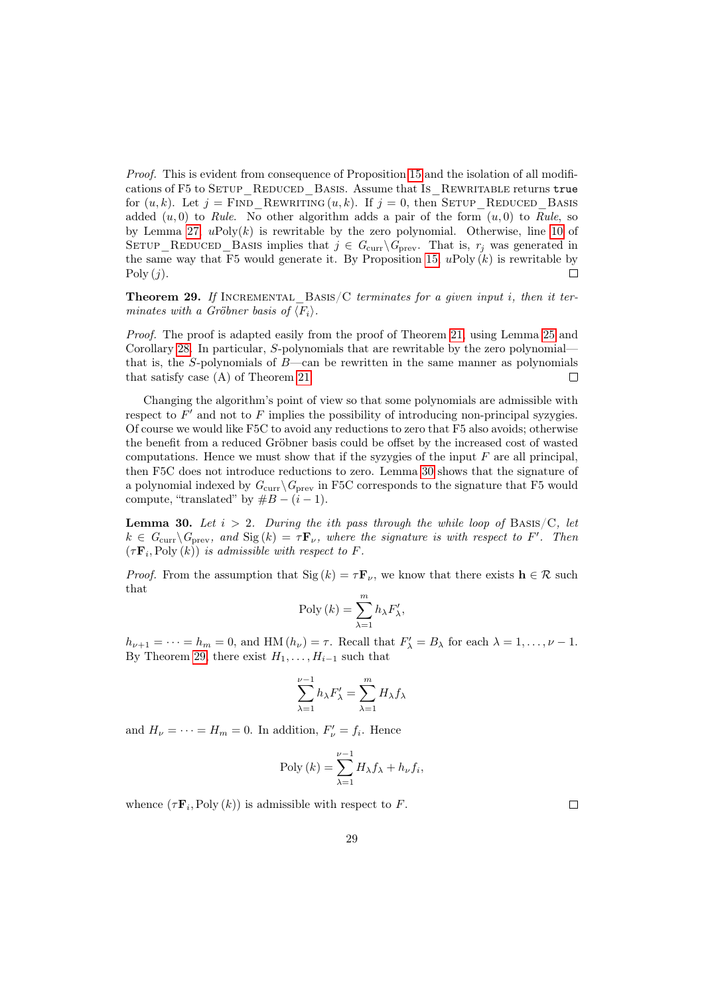Proof. This is evident from consequence of Proposition [15](#page-20-2) and the isolation of all modifications of F5 to SETUP REDUCED BASIS. Assume that Is REWRITABLE returns true for  $(u, k)$ . Let  $j =$  FIND REWRITING  $(u, k)$ . If  $j = 0$ , then SETUP REDUCED BASIS added  $(u, 0)$  to Rule. No other algorithm adds a pair of the form  $(u, 0)$  to Rule, so by Lemma [27,](#page-27-2)  $u\text{Poly}(k)$  is rewritable by the zero polynomial. Otherwise, line [10](#page-3-4) of SETUP\_REDUCED\_BASIS implies that  $j \in G_{\text{curr}} \backslash G_{\text{prev}}$ . That is,  $r_j$  was generated in the same way that F5 would generate it. By Proposition [15,](#page-20-2)  $u$ Poly  $(k)$  is rewritable by  $\Box$  $Poly (j).$ 

<span id="page-28-1"></span>Theorem 29. If INCREMENTAL\_BASIS/C terminates for a given input i, then it terminates with a Gröbner basis of  $\langle F_i \rangle$ .

Proof. The proof is adapted easily from the proof of Theorem [21,](#page-23-0) using Lemma [25](#page-27-3) and Corollary [28.](#page-27-4) In particular, S-polynomials that are rewritable by the zero polynomial that is, the  $S$ -polynomials of  $B$ —can be rewritten in the same manner as polynomials that satisfy case (A) of Theorem [21.](#page-23-0)  $\Box$ 

Changing the algorithm's point of view so that some polynomials are admissible with respect to  $F'$  and not to  $F$  implies the possibility of introducing non-principal syzygies. Of course we would like F5C to avoid any reductions to zero that F5 also avoids; otherwise the benefit from a reduced Gröbner basis could be offset by the increased cost of wasted computations. Hence we must show that if the syzygies of the input  $F$  are all principal, then F5C does not introduce reductions to zero. Lemma [30](#page-28-0) shows that the signature of a polynomial indexed by  $G_{\text{curr}}\backslash G_{\text{prev}}$  in F5C corresponds to the signature that F5 would compute, "translated" by  $#B - (i - 1)$ .

<span id="page-28-0"></span>**Lemma 30.** Let  $i > 2$ . During the ith pass through the while loop of BASIS/C, let  $k \in G_{\text{curr}} \backslash G_{\text{prev}}$ , and  $\text{Sig}(k) = \tau \mathbf{F}_{\nu}$ , where the signature is with respect to F'. Then  $(\tau \mathbf{F}_i, \text{Poly}(k))$  is admissible with respect to F.

*Proof.* From the assumption that  $\text{Sig}(k) = \tau \mathbf{F}_{\nu}$ , we know that there exists  $\mathbf{h} \in \mathcal{R}$  such that

$$
Poly (k) = \sum_{\lambda=1}^{m} h_{\lambda} F'_{\lambda},
$$

 $h_{\nu+1} = \cdots = h_m = 0$ , and HM  $(h_{\nu}) = \tau$ . Recall that  $F'_{\lambda} = B_{\lambda}$  for each  $\lambda = 1, \ldots, \nu - 1$ . By Theorem [29,](#page-28-1) there exist  $H_1, \ldots, H_{i-1}$  such that

$$
\sum_{\lambda=1}^{\nu-1} h_{\lambda} F'_{\lambda} = \sum_{\lambda=1}^{m} H_{\lambda} f_{\lambda}
$$

and  $H_{\nu} = \cdots = H_{m} = 0$ . In addition,  $F'_{\nu} = f_{i}$ . Hence

$$
Poly (k) = \sum_{\lambda=1}^{\nu-1} H_{\lambda} f_{\lambda} + h_{\nu} f_i,
$$

whence  $(\tau \mathbf{F}_i, \text{Poly}(k))$  is admissible with respect to F.

 $\Box$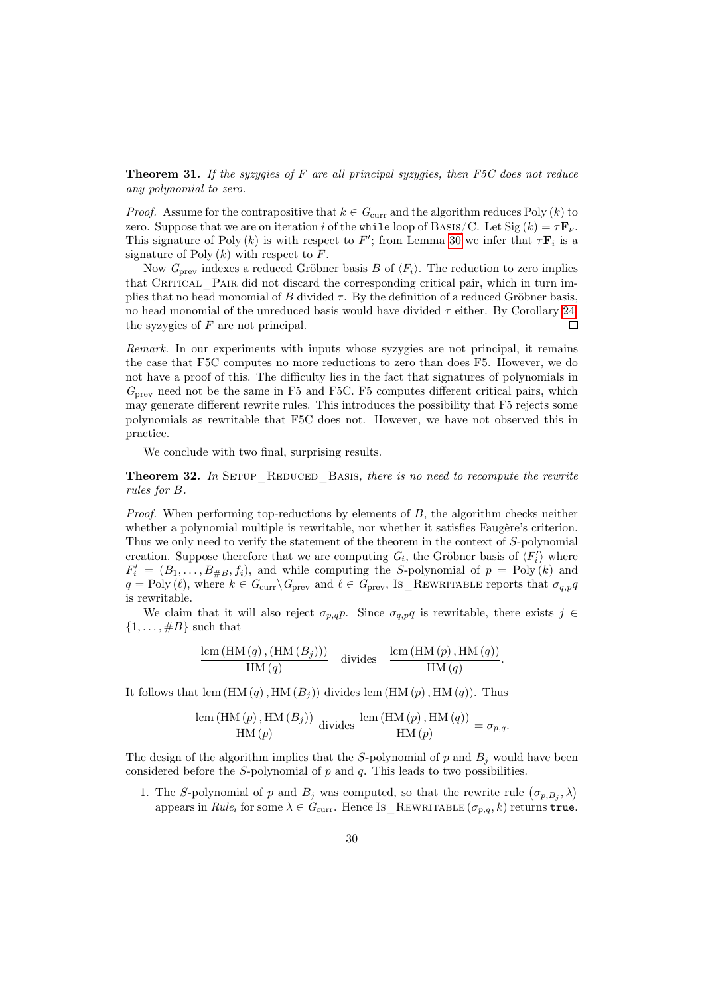**Theorem 31.** If the syzygies of F are all principal syzygies, then  $F5C$  does not reduce any polynomial to zero.

*Proof.* Assume for the contrapositive that  $k \in G_{\text{curr}}$  and the algorithm reduces Poly  $(k)$  to zero. Suppose that we are on iteration i of the while loop of BASIS/C. Let  $\text{Sig}(k) = \tau \mathbf{F}_{\nu}$ . This signature of Poly (k) is with respect to F'; from Lemma [30](#page-28-0) we infer that  $\tau \mathbf{F}_i$  is a signature of Poly  $(k)$  with respect to F.

Now  $G_{\text{prev}}$  indexes a reduced Gröbner basis B of  $\langle F_i \rangle$ . The reduction to zero implies that CRITICAL PAIR did not discard the corresponding critical pair, which in turn implies that no head monomial of B divided  $\tau$ . By the definition of a reduced Gröbner basis, no head monomial of the unreduced basis would have divided  $\tau$  either. By Corollary [24,](#page-26-0) the syzygies of  $F$  are not principal.  $\Box$ 

Remark. In our experiments with inputs whose syzygies are not principal, it remains the case that F5C computes no more reductions to zero than does F5. However, we do not have a proof of this. The difficulty lies in the fact that signatures of polynomials in  $G_{\text{prev}}$  need not be the same in F5 and F5C. F5 computes different critical pairs, which may generate different rewrite rules. This introduces the possibility that F5 rejects some polynomials as rewritable that F5C does not. However, we have not observed this in practice.

We conclude with two final, surprising results.

<span id="page-29-0"></span>**Theorem 32.** In SETUP REDUCED BASIS, there is no need to recompute the rewrite rules for B.

*Proof.* When performing top-reductions by elements of  $B$ , the algorithm checks neither whether a polynomial multiple is rewritable, nor whether it satisfies Faugère's criterion. Thus we only need to verify the statement of the theorem in the context of S-polynomial creation. Suppose therefore that we are computing  $G_i$ , the Gröbner basis of  $\langle F_i' \rangle$  where  $F'_{i} = (B_1, \ldots, B_{\#B}, f_i)$ , and while computing the S-polynomial of  $p = \text{Poly}(k)$  and  $q = \text{Poly}(\ell)$ , where  $k \in G_{\text{curr}} \backslash G_{\text{prev}}$  and  $\ell \in G_{\text{prev}},$  Is\_REWRITABLE reports that  $\sigma_{q,p}q$ is rewritable.

We claim that it will also reject  $\sigma_{p,q}$ . Since  $\sigma_{q,p}q$  is rewritable, there exists  $j \in$  $\{1, \ldots, \#B\}$  such that

$$
\frac{\operatorname{lcm}(\operatorname{HM}(q),(\operatorname{HM}(B_j)))}{\operatorname{HM}(q)} \quad \text{divides} \quad \frac{\operatorname{lcm}(\operatorname{HM}(p),\operatorname{HM}(q))}{\operatorname{HM}(q)}.
$$

It follows that lcm  $(HM(q), HM(B_i))$  divides lcm  $(HM(p), HM(q))$ . Thus

$$
\frac{\text{lcm (HM (p), HM (Bj))}}{\text{HM (p)}} \text{ divides } \frac{\text{lcm (HM (p), HM (q))}}{\text{HM (p)}} = \sigma_{p,q}.
$$

The design of the algorithm implies that the S-polynomial of p and  $B_i$  would have been considered before the S-polynomial of  $p$  and  $q$ . This leads to two possibilities.

1. The S-polynomial of p and  $B_j$  was computed, so that the rewrite rule  $(\sigma_{p,B_j}, \lambda)$ appears in Rule<sub>i</sub> for some  $\lambda \in G_{\text{curr}}$ . Hence Is REWRITABLE  $(\sigma_{p,q}, k)$  returns true.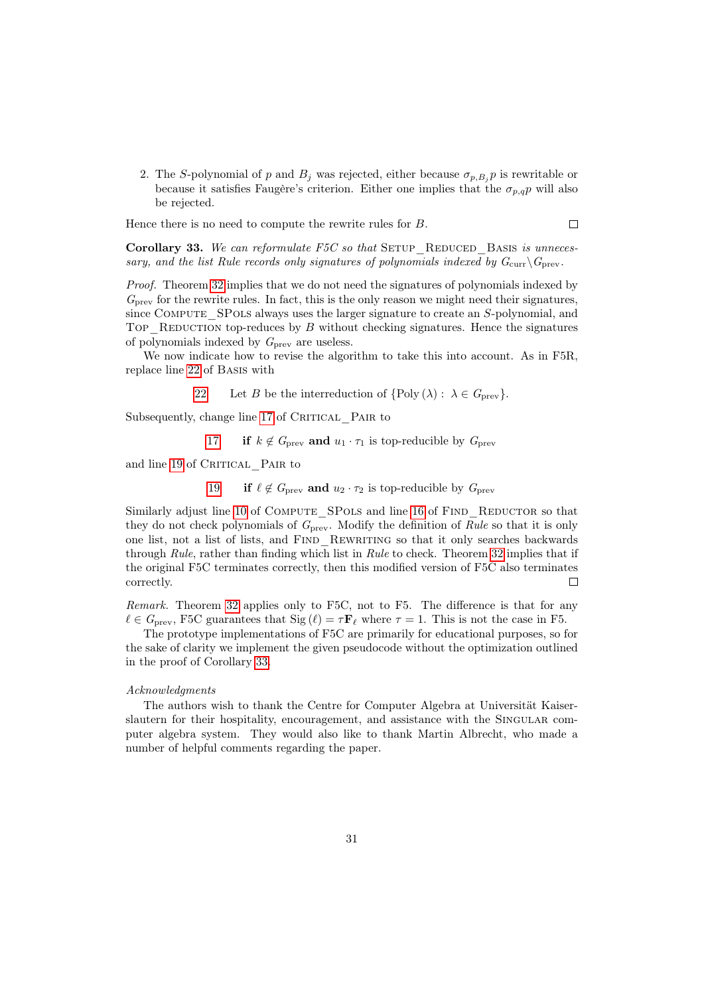2. The S-polynomial of p and  $B_i$  was rejected, either because  $\sigma_{p,B_i} p$  is rewritable or because it satisfies Faugère's criterion. Either one implies that the  $\sigma_{n,q}$  will also be rejected.

 $\Box$ 

Hence there is no need to compute the rewrite rules for B.

<span id="page-30-0"></span>Corollary 33. We can reformulate F5C so that SETUP REDUCED BASIS is unnecessary, and the list Rule records only signatures of polynomials indexed by  $G_{\text{curr}}\backslash G_{\text{prev}}$ .

Proof. Theorem [32](#page-29-0) implies that we do not need the signatures of polynomials indexed by  $G<sub>prev</sub>$  for the rewrite rules. In fact, this is the only reason we might need their signatures, since COMPUTE SPOLS always uses the larger signature to create an S-polynomial, and Top—REDUCTION top-reduces by  $B$  without checking signatures. Hence the signatures of polynomials indexed by  $G_{\text{prev}}$  are useless.

We now indicate how to revise the algorithm to take this into account. As in F5R, replace line [22](#page-3-5) of Basis with

[22](#page-3-5) Let B be the interreduction of  $\{\text{Poly } (\lambda) : \lambda \in G_{\text{prev}}\}.$ 

Subsequently, change line [17](#page-3-2) of CRITICAL PAIR to

[17](#page-3-2) if  $k \notin G_{\text{prev}}$  and  $u_1 \cdot \tau_1$  is top-reducible by  $G_{\text{prev}}$ 

and line [19](#page-3-3) of CRITICAL PAIR to

[19](#page-3-3) if  $\ell \notin G_{\text{prev}}$  and  $u_2 \cdot \tau_2$  is top-reducible by  $G_{\text{prev}}$ 

Similarly adjust line [10](#page-3-4) of COMPUTE\_SPOLS and line [16](#page-3-1) of FIND\_REDUCTOR so that they do not check polynomials of  $G_{\text{prev}}$ . Modify the definition of Rule so that it is only one list, not a list of lists, and FIND REWRITING so that it only searches backwards through Rule, rather than finding which list in Rule to check. Theorem [32](#page-29-0) implies that if the original F5C terminates correctly, then this modified version of F5C also terminates correctly.  $\Box$ 

Remark. Theorem [32](#page-29-0) applies only to F5C, not to F5. The difference is that for any  $\ell \in G_{\text{prev}}$ , F5C guarantees that Sig  $(\ell) = \tau \mathbf{F}_{\ell}$  where  $\tau = 1$ . This is not the case in F5.

The prototype implementations of F5C are primarily for educational purposes, so for the sake of clarity we implement the given pseudocode without the optimization outlined in the proof of Corollary [33.](#page-30-0)

#### Acknowledgments

The authors wish to thank the Centre for Computer Algebra at Universität Kaiserslautern for their hospitality, encouragement, and assistance with the Singular computer algebra system. They would also like to thank Martin Albrecht, who made a number of helpful comments regarding the paper.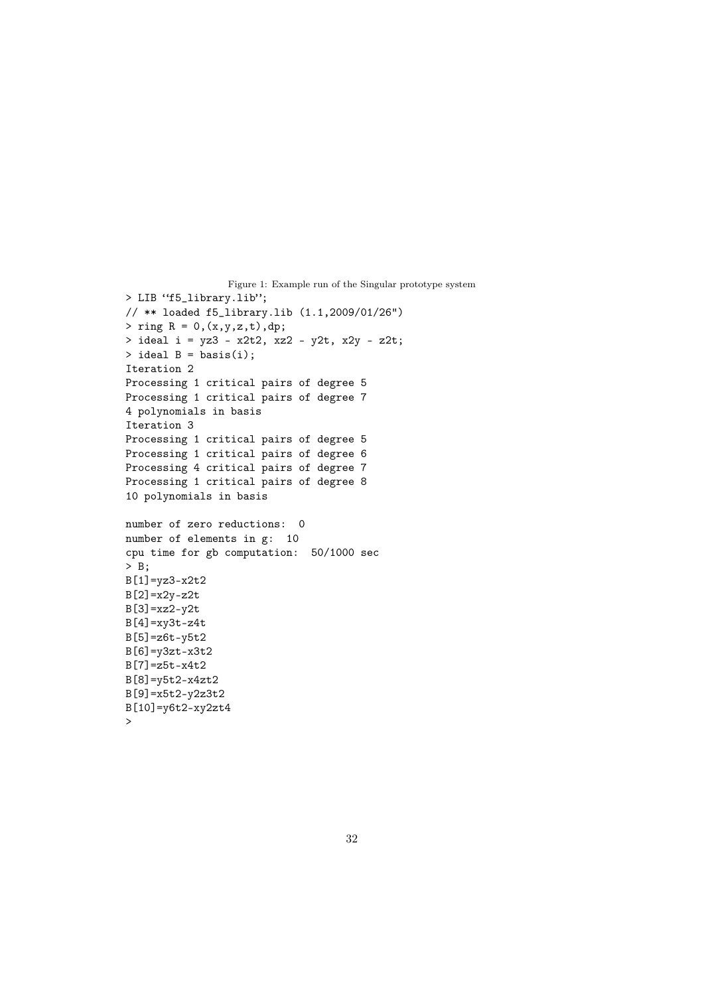```
Figure 1: Example run of the Singular prototype system
> LIB "f5_library.lib";
// ** loaded f5_library.lib (1.1,2009/01/26")
> ring R = 0, (x, y, z, t), dp;
> ideal i = yz3 - x2t2, xz2 - y2t, x2y - z2t;
> ideal B = basis(i);
Iteration 2
Processing 1 critical pairs of degree 5
Processing 1 critical pairs of degree 7
4 polynomials in basis
Iteration 3
Processing 1 critical pairs of degree 5
Processing 1 critical pairs of degree 6
Processing 4 critical pairs of degree 7
Processing 1 critical pairs of degree 8
10 polynomials in basis
number of zero reductions: 0
number of elements in g: 10
cpu time for gb computation: 50/1000 sec
> B;
B[1]=yz3-x2t2
B[2]=x2y-z2t
B[3]=xz2-y2t
B[4]=xy3t-z4t
B[5]=z6t-y5t2
B[6]=y3zt-x3t2
B[7]=z5t-x4t2
B[8]=y5t2-x4zt2
B[9]=x5t2-y2z3t2
B[10]=y6t2-xy2zt4
\rightarrow
```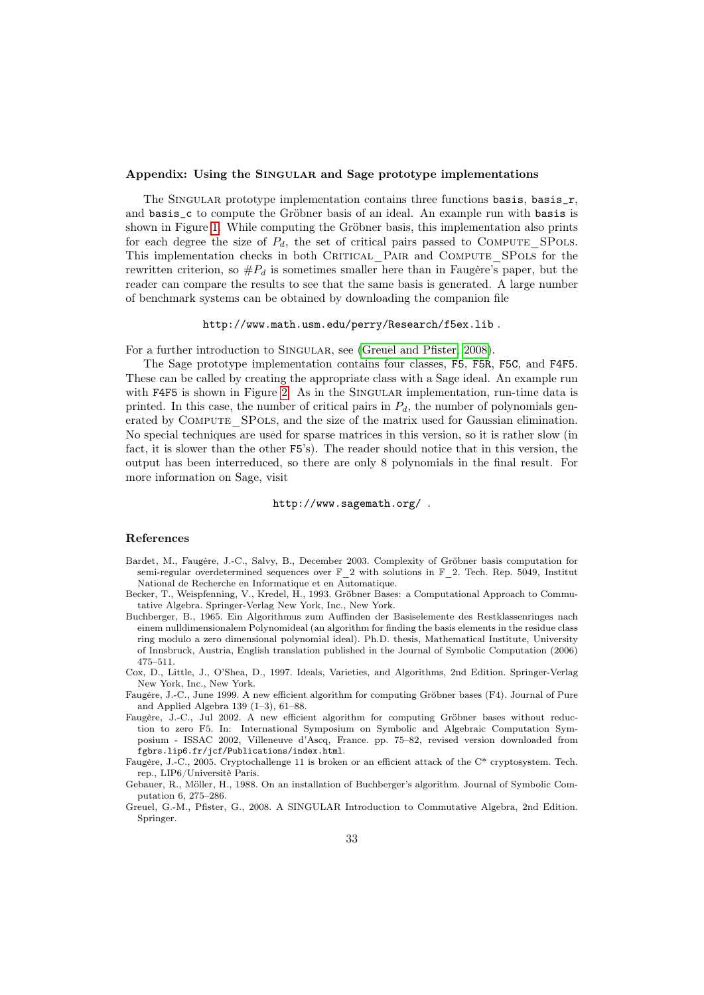# Appendix: Using the SINGULAR and Sage prototype implementations

The SINGULAR prototype implementation contains three functions basis, basis<sub>r,</sub> and basis\_c to compute the Gröbner basis of an ideal. An example run with basis is shown in Figure [1.](#page-31-0) While computing the Gröbner basis, this implementation also prints for each degree the size of  $P_d$ , the set of critical pairs passed to COMPUTE SPOLS. This implementation checks in both CRITICAL PAIR and COMPUTE\_SPOLS for the rewritten criterion, so  $\#P_d$  is sometimes smaller here than in Faugère's paper, but the reader can compare the results to see that the same basis is generated. A large number of benchmark systems can be obtained by downloading the companion file

#### http://www.math.usm.edu/perry/Research/f5ex.lib .

For a further introduction to SINGULAR, see [\(Greuel and Pfister, 2008\)](#page-32-4).

The Sage prototype implementation contains four classes, F5, F5R, F5C, and F4F5. These can be called by creating the appropriate class with a Sage ideal. An example run with F4F5 is shown in Figure [2.](#page-33-0) As in the SINGULAR implementation, run-time data is printed. In this case, the number of critical pairs in  $P_d$ , the number of polynomials generated by COMPUTE SPOLS, and the size of the matrix used for Gaussian elimination. No special techniques are used for sparse matrices in this version, so it is rather slow (in fact, it is slower than the other F5's). The reader should notice that in this version, the output has been interreduced, so there are only 8 polynomials in the final result. For more information on Sage, visit

#### http://www.sagemath.org/ .

# References

- <span id="page-32-2"></span>Bardet, M., Faugère, J.-C., Salvy, B., December 2003. Complexity of Gröbner basis computation for semi-regular overdetermined sequences over  $\mathbb{F}_2$  with solutions in  $\mathbb{F}_2$ . Tech. Rep. 5049, Institut National de Recherche en Informatique et en Automatique.
- <span id="page-32-5"></span>Becker, T., Weispfenning, V., Kredel, H., 1993. Gröbner Bases: a Computational Approach to Commutative Algebra. Springer-Verlag New York, Inc., New York.
- <span id="page-32-0"></span>Buchberger, B., 1965. Ein Algorithmus zum Auffinden der Basiselemente des Restklassenringes nach einem nulldimensionalem Polynomideal (an algorithm for finding the basis elements in the residue class ring modulo a zero dimensional polynomial ideal). Ph.D. thesis, Mathematical Institute, University of Innsbruck, Austria, English translation published in the Journal of Symbolic Computation (2006) 475–511.
- <span id="page-32-6"></span>Cox, D., Little, J., O'Shea, D., 1997. Ideals, Varieties, and Algorithms, 2nd Edition. Springer-Verlag New York, Inc., New York.
- <span id="page-32-7"></span>Faugère, J.-C., June 1999. A new efficient algorithm for computing Gröbner bases (F4). Journal of Pure and Applied Algebra 139 (1–3), 61–88.
- <span id="page-32-1"></span>Faugère, J.-C., Jul 2002. A new efficient algorithm for computing Gröbner bases without reduction to zero F5. In: International Symposium on Symbolic and Algebraic Computation Symposium - ISSAC 2002, Villeneuve d'Ascq, France. pp. 75–82, revised version downloaded from fgbrs.lip6.fr/jcf/Publications/index.html.
- <span id="page-32-3"></span>Faugère, J.-C., 2005. Cryptochallenge 11 is broken or an efficient attack of the C\* cryptosystem. Tech. rep., LIP6/Universitè Paris.
- <span id="page-32-8"></span>Gebauer, R., Möller, H., 1988. On an installation of Buchberger's algorithm. Journal of Symbolic Computation 6, 275–286.
- <span id="page-32-4"></span>Greuel, G.-M., Pfister, G., 2008. A SINGULAR Introduction to Commutative Algebra, 2nd Edition. Springer.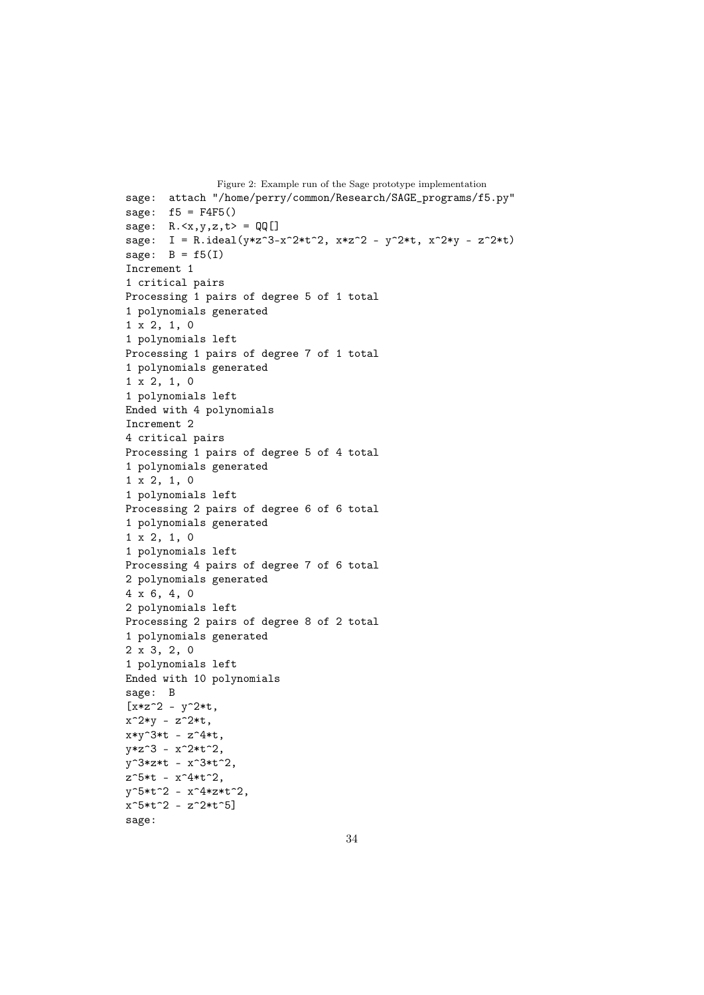```
Figure 2: Example run of the Sage prototype implementation
sage: attach "/home/perry/common/Research/SAGE_programs/f5.py"
sage: f5 = F4F5()sage: R.\langle x,y,z,t\rangle = QQ[sage: I = R.ideal(y*z^3-x^2*t^2, x*z^2 - y^2*t, x^2*y - z^2*t)
sage: B = f5(I)Increment 1
1 critical pairs
Processing 1 pairs of degree 5 of 1 total
1 polynomials generated
1 x 2, 1, 0
1 polynomials left
Processing 1 pairs of degree 7 of 1 total
1 polynomials generated
1 x 2, 1, 0
1 polynomials left
Ended with 4 polynomials
Increment 2
4 critical pairs
Processing 1 pairs of degree 5 of 4 total
1 polynomials generated
1 x 2, 1, 0
1 polynomials left
Processing 2 pairs of degree 6 of 6 total
1 polynomials generated
1 x 2, 1, 0
1 polynomials left
Processing 4 pairs of degree 7 of 6 total
2 polynomials generated
4 x 6, 4, 0
2 polynomials left
Processing 2 pairs of degree 8 of 2 total
1 polynomials generated
2 x 3, 2, 0
1 polynomials left
Ended with 10 polynomials
sage: B
[x*z^2 - y^2*t,x^2*y - z^2*t,
x*y^3*t - z^4*t,
y*z^3 - x^2*t^2,y^3*z*t - x^3*t^2,
z^5*t - x^4*t^2,
y^5*t^2 - x^4*z*t^2,
x^5*t^2 - z^2*t^5sage:
```